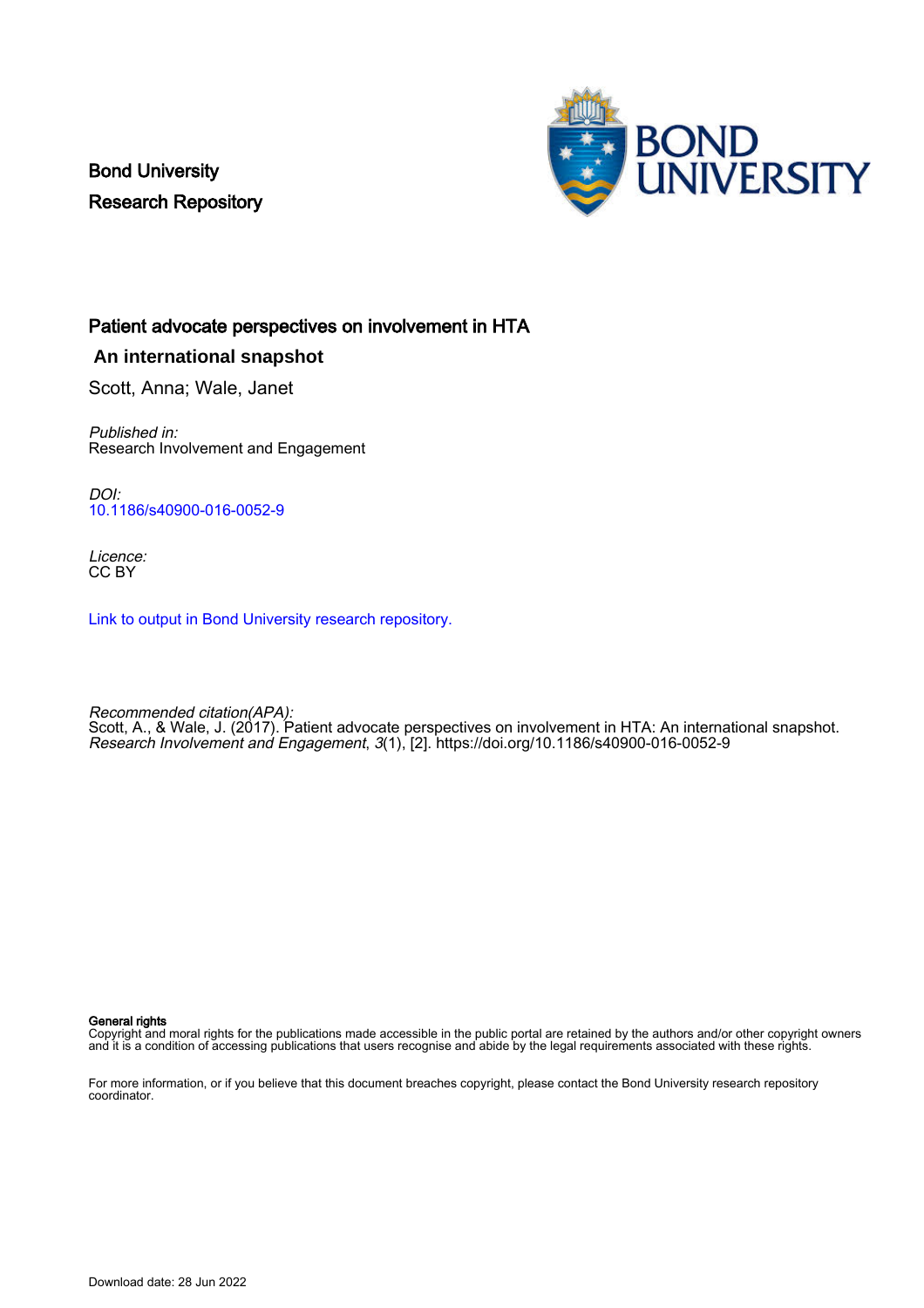Bond University Research Repository



# Patient advocate perspectives on involvement in HTA

# **An international snapshot**

Scott, Anna; Wale, Janet

Published in: Research Involvement and Engagement

 $D$  $O$ [10.1186/s40900-016-0052-9](https://doi.org/10.1186/s40900-016-0052-9)

Licence: CC BY

[Link to output in Bond University research repository.](https://research.bond.edu.au/en/publications/1af5e5b3-e2f9-42f2-88e1-cf4cf78568f5)

Recommended citation(APA): Scott, A., & Wale, J. (2017). Patient advocate perspectives on involvement in HTA: An international snapshot. Research Involvement and Engagement, 3(1), [2]. <https://doi.org/10.1186/s40900-016-0052-9>

General rights

Copyright and moral rights for the publications made accessible in the public portal are retained by the authors and/or other copyright owners and it is a condition of accessing publications that users recognise and abide by the legal requirements associated with these rights.

For more information, or if you believe that this document breaches copyright, please contact the Bond University research repository coordinator.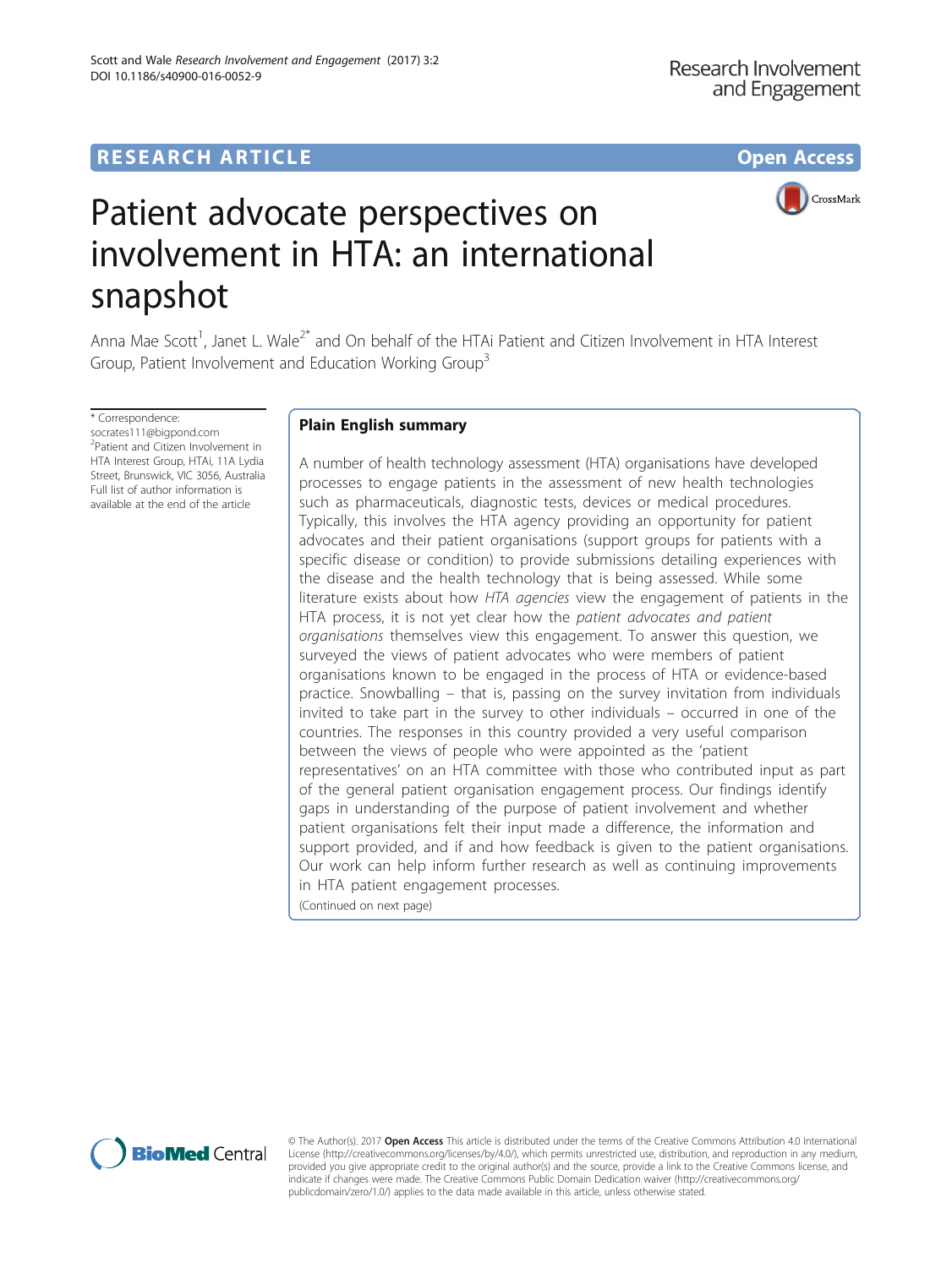DOI 10.1186/s40900-016-0052-9

Scott and Wale Research Involvement and Engagement (2017) 3:2



# Patient advocate perspectives on involvement in HTA: an international snapshot

Anna Mae Scott<sup>1</sup>, Janet L. Wale<sup>2\*</sup> and On behalf of the HTAi Patient and Citizen Involvement in HTA Interest Group, Patient Involvement and Education Working Group<sup>3</sup>

\* Correspondence: [socrates111@bigpond.com](mailto:socrates111@bigpond.com) 2 Patient and Citizen Involvement in HTA Interest Group, HTAi, 11A Lydia Street, Brunswick, VIC 3056, Australia Full list of author information is available at the end of the article

### Plain English summary

A number of health technology assessment (HTA) organisations have developed processes to engage patients in the assessment of new health technologies such as pharmaceuticals, diagnostic tests, devices or medical procedures. Typically, this involves the HTA agency providing an opportunity for patient advocates and their patient organisations (support groups for patients with a specific disease or condition) to provide submissions detailing experiences with the disease and the health technology that is being assessed. While some literature exists about how HTA agencies view the engagement of patients in the HTA process, it is not yet clear how the patient advocates and patient organisations themselves view this engagement. To answer this question, we surveyed the views of patient advocates who were members of patient organisations known to be engaged in the process of HTA or evidence-based practice. Snowballing – that is, passing on the survey invitation from individuals invited to take part in the survey to other individuals – occurred in one of the countries. The responses in this country provided a very useful comparison between the views of people who were appointed as the 'patient representatives' on an HTA committee with those who contributed input as part of the general patient organisation engagement process. Our findings identify gaps in understanding of the purpose of patient involvement and whether patient organisations felt their input made a difference, the information and support provided, and if and how feedback is given to the patient organisations. Our work can help inform further research as well as continuing improvements in HTA patient engagement processes.

(Continued on next page)



© The Author(s). 2017 Open Access This article is distributed under the terms of the Creative Commons Attribution 4.0 International License ([http://creativecommons.org/licenses/by/4.0/\)](http://creativecommons.org/licenses/by/4.0/), which permits unrestricted use, distribution, and reproduction in any medium, provided you give appropriate credit to the original author(s) and the source, provide a link to the Creative Commons license, and indicate if changes were made. The Creative Commons Public Domain Dedication waiver ([http://creativecommons.org/](http://creativecommons.org/publicdomain/zero/1.0/) [publicdomain/zero/1.0/\)](http://creativecommons.org/publicdomain/zero/1.0/) applies to the data made available in this article, unless otherwise stated.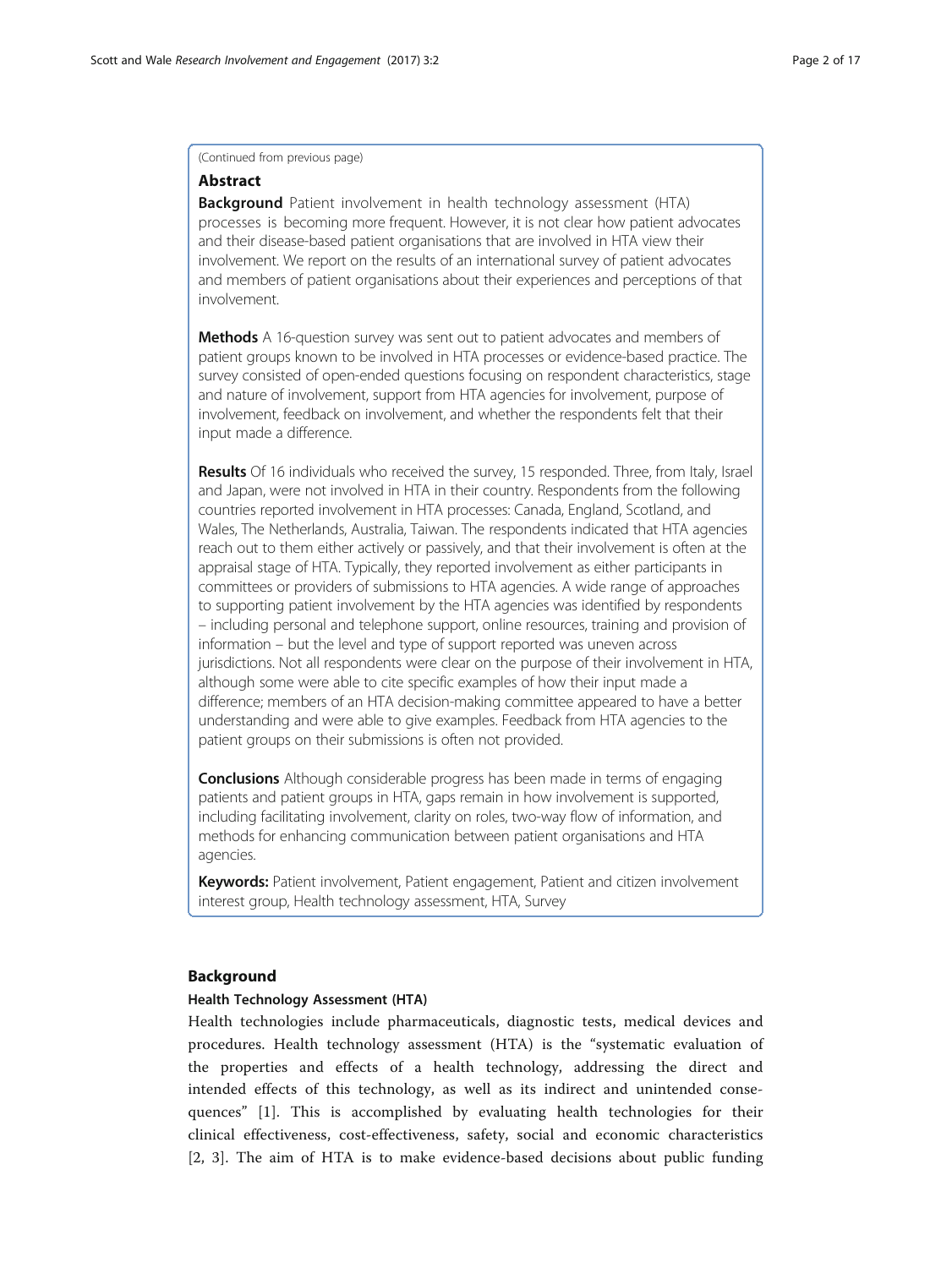#### (Continued from previous page)

#### Abstract

**Background** Patient involvement in health technology assessment (HTA) processes is becoming more frequent. However, it is not clear how patient advocates and their disease-based patient organisations that are involved in HTA view their involvement. We report on the results of an international survey of patient advocates and members of patient organisations about their experiences and perceptions of that involvement.

**Methods** A 16-question survey was sent out to patient advocates and members of patient groups known to be involved in HTA processes or evidence-based practice. The survey consisted of open-ended questions focusing on respondent characteristics, stage and nature of involvement, support from HTA agencies for involvement, purpose of involvement, feedback on involvement, and whether the respondents felt that their input made a difference.

**Results** Of 16 individuals who received the survey, 15 responded. Three, from Italy, Israel and Japan, were not involved in HTA in their country. Respondents from the following countries reported involvement in HTA processes: Canada, England, Scotland, and Wales, The Netherlands, Australia, Taiwan. The respondents indicated that HTA agencies reach out to them either actively or passively, and that their involvement is often at the appraisal stage of HTA. Typically, they reported involvement as either participants in committees or providers of submissions to HTA agencies. A wide range of approaches to supporting patient involvement by the HTA agencies was identified by respondents – including personal and telephone support, online resources, training and provision of information – but the level and type of support reported was uneven across jurisdictions. Not all respondents were clear on the purpose of their involvement in HTA, although some were able to cite specific examples of how their input made a difference; members of an HTA decision-making committee appeared to have a better understanding and were able to give examples. Feedback from HTA agencies to the patient groups on their submissions is often not provided.

**Conclusions** Although considerable progress has been made in terms of engaging patients and patient groups in HTA, gaps remain in how involvement is supported, including facilitating involvement, clarity on roles, two-way flow of information, and methods for enhancing communication between patient organisations and HTA agencies.

Keywords: Patient involvement, Patient engagement, Patient and citizen involvement interest group, Health technology assessment, HTA, Survey

#### Background

#### Health Technology Assessment (HTA)

Health technologies include pharmaceuticals, diagnostic tests, medical devices and procedures. Health technology assessment (HTA) is the "systematic evaluation of the properties and effects of a health technology, addressing the direct and intended effects of this technology, as well as its indirect and unintended consequences" [[1\]](#page-16-0). This is accomplished by evaluating health technologies for their clinical effectiveness, cost-effectiveness, safety, social and economic characteristics [[2, 3\]](#page-16-0). The aim of HTA is to make evidence-based decisions about public funding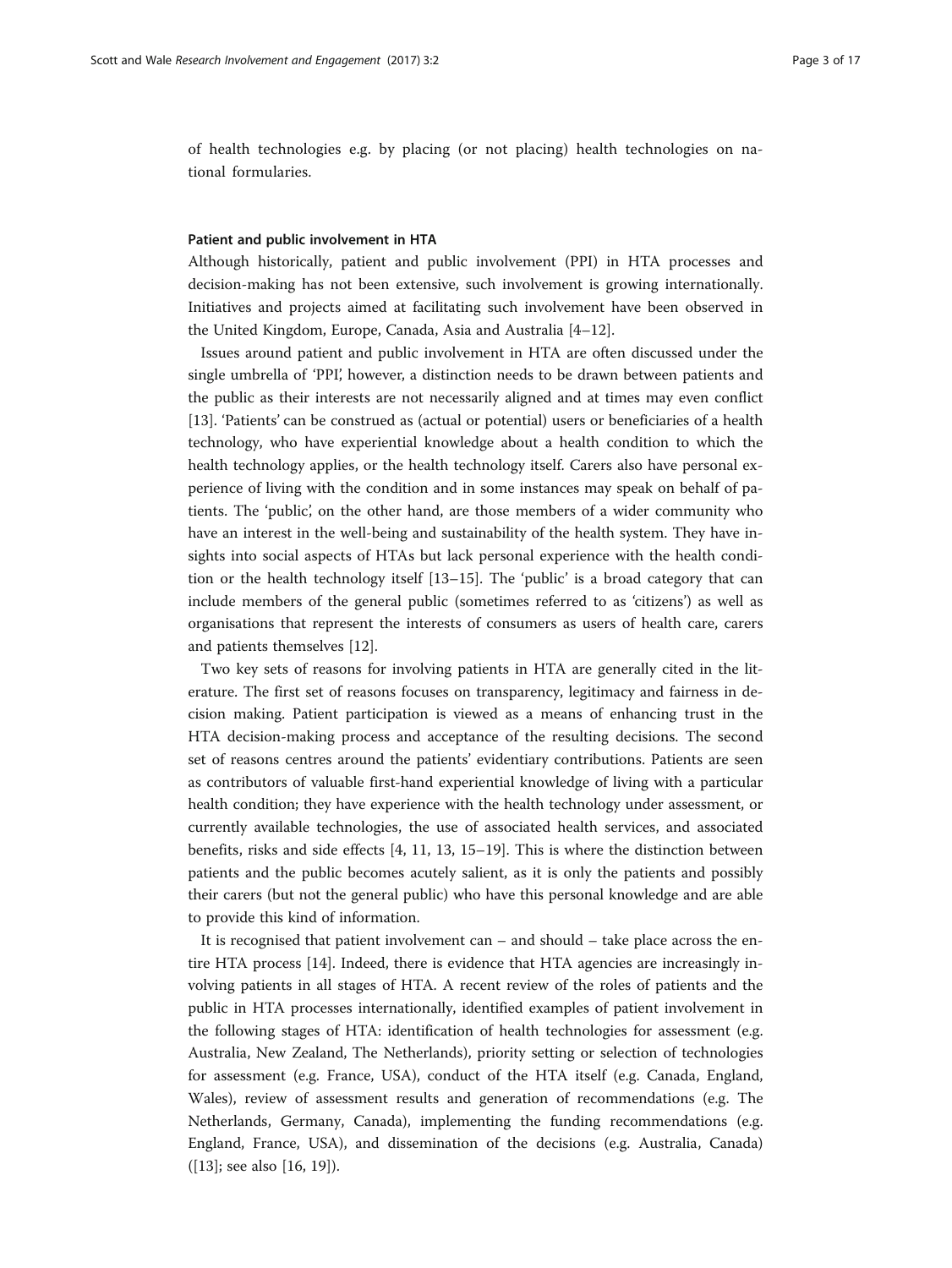of health technologies e.g. by placing (or not placing) health technologies on national formularies.

#### Patient and public involvement in HTA

Although historically, patient and public involvement (PPI) in HTA processes and decision-making has not been extensive, such involvement is growing internationally. Initiatives and projects aimed at facilitating such involvement have been observed in the United Kingdom, Europe, Canada, Asia and Australia [[4](#page-16-0)–[12\]](#page-16-0).

Issues around patient and public involvement in HTA are often discussed under the single umbrella of 'PPI', however, a distinction needs to be drawn between patients and the public as their interests are not necessarily aligned and at times may even conflict [[13\]](#page-16-0). 'Patients' can be construed as (actual or potential) users or beneficiaries of a health technology, who have experiential knowledge about a health condition to which the health technology applies, or the health technology itself. Carers also have personal experience of living with the condition and in some instances may speak on behalf of patients. The 'public', on the other hand, are those members of a wider community who have an interest in the well-being and sustainability of the health system. They have insights into social aspects of HTAs but lack personal experience with the health condition or the health technology itself [\[13](#page-16-0)–[15\]](#page-16-0). The 'public' is a broad category that can include members of the general public (sometimes referred to as 'citizens') as well as organisations that represent the interests of consumers as users of health care, carers and patients themselves [\[12](#page-16-0)].

Two key sets of reasons for involving patients in HTA are generally cited in the literature. The first set of reasons focuses on transparency, legitimacy and fairness in decision making. Patient participation is viewed as a means of enhancing trust in the HTA decision-making process and acceptance of the resulting decisions. The second set of reasons centres around the patients' evidentiary contributions. Patients are seen as contributors of valuable first-hand experiential knowledge of living with a particular health condition; they have experience with the health technology under assessment, or currently available technologies, the use of associated health services, and associated benefits, risks and side effects [\[4](#page-16-0), [11](#page-16-0), [13, 15](#page-16-0)–[19\]](#page-16-0). This is where the distinction between patients and the public becomes acutely salient, as it is only the patients and possibly their carers (but not the general public) who have this personal knowledge and are able to provide this kind of information.

It is recognised that patient involvement can  $-$  and should  $-$  take place across the entire HTA process [[14\]](#page-16-0). Indeed, there is evidence that HTA agencies are increasingly involving patients in all stages of HTA. A recent review of the roles of patients and the public in HTA processes internationally, identified examples of patient involvement in the following stages of HTA: identification of health technologies for assessment (e.g. Australia, New Zealand, The Netherlands), priority setting or selection of technologies for assessment (e.g. France, USA), conduct of the HTA itself (e.g. Canada, England, Wales), review of assessment results and generation of recommendations (e.g. The Netherlands, Germany, Canada), implementing the funding recommendations (e.g. England, France, USA), and dissemination of the decisions (e.g. Australia, Canada) ([[13\]](#page-16-0); see also [[16](#page-16-0), [19](#page-16-0)]).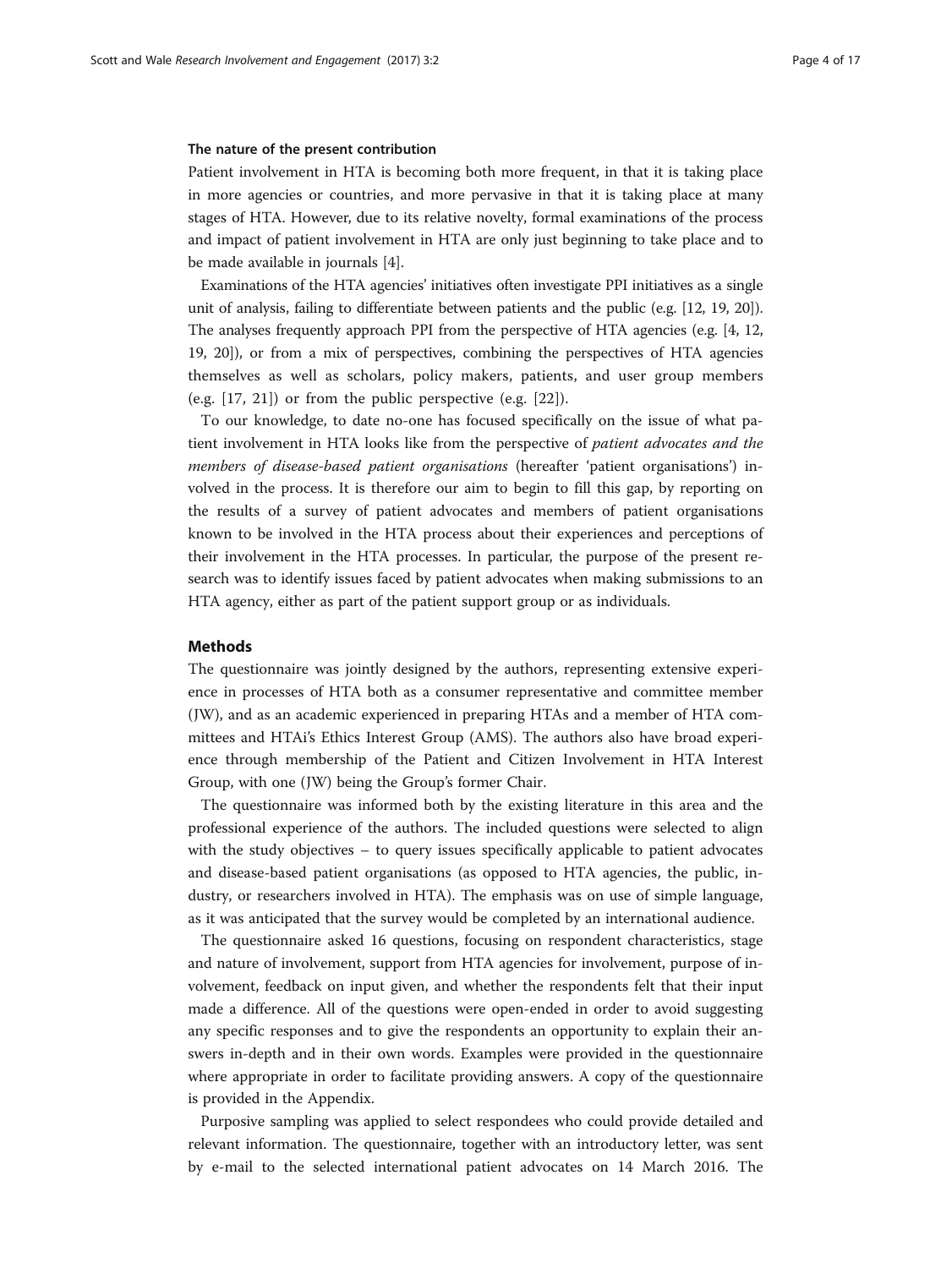#### The nature of the present contribution

Patient involvement in HTA is becoming both more frequent, in that it is taking place in more agencies or countries, and more pervasive in that it is taking place at many stages of HTA. However, due to its relative novelty, formal examinations of the process and impact of patient involvement in HTA are only just beginning to take place and to be made available in journals [[4\]](#page-16-0).

Examinations of the HTA agencies' initiatives often investigate PPI initiatives as a single unit of analysis, failing to differentiate between patients and the public (e.g. [[12](#page-16-0), [19](#page-16-0), [20](#page-16-0)]). The analyses frequently approach PPI from the perspective of HTA agencies (e.g. [[4](#page-16-0), [12](#page-16-0), [19](#page-16-0), [20](#page-16-0)]), or from a mix of perspectives, combining the perspectives of HTA agencies themselves as well as scholars, policy makers, patients, and user group members (e.g. [[17, 21](#page-16-0)]) or from the public perspective (e.g. [[22](#page-16-0)]).

To our knowledge, to date no-one has focused specifically on the issue of what patient involvement in HTA looks like from the perspective of patient advocates and the members of disease-based patient organisations (hereafter 'patient organisations') involved in the process. It is therefore our aim to begin to fill this gap, by reporting on the results of a survey of patient advocates and members of patient organisations known to be involved in the HTA process about their experiences and perceptions of their involvement in the HTA processes. In particular, the purpose of the present research was to identify issues faced by patient advocates when making submissions to an HTA agency, either as part of the patient support group or as individuals.

#### Methods

The questionnaire was jointly designed by the authors, representing extensive experience in processes of HTA both as a consumer representative and committee member (JW), and as an academic experienced in preparing HTAs and a member of HTA committees and HTAi's Ethics Interest Group (AMS). The authors also have broad experience through membership of the Patient and Citizen Involvement in HTA Interest Group, with one (JW) being the Group's former Chair.

The questionnaire was informed both by the existing literature in this area and the professional experience of the authors. The included questions were selected to align with the study objectives – to query issues specifically applicable to patient advocates and disease-based patient organisations (as opposed to HTA agencies, the public, industry, or researchers involved in HTA). The emphasis was on use of simple language, as it was anticipated that the survey would be completed by an international audience.

The questionnaire asked 16 questions, focusing on respondent characteristics, stage and nature of involvement, support from HTA agencies for involvement, purpose of involvement, feedback on input given, and whether the respondents felt that their input made a difference. All of the questions were open-ended in order to avoid suggesting any specific responses and to give the respondents an opportunity to explain their answers in-depth and in their own words. Examples were provided in the questionnaire where appropriate in order to facilitate providing answers. A copy of the questionnaire is provided in the [Appendix](#page-15-0).

Purposive sampling was applied to select respondees who could provide detailed and relevant information. The questionnaire, together with an introductory letter, was sent by e-mail to the selected international patient advocates on 14 March 2016. The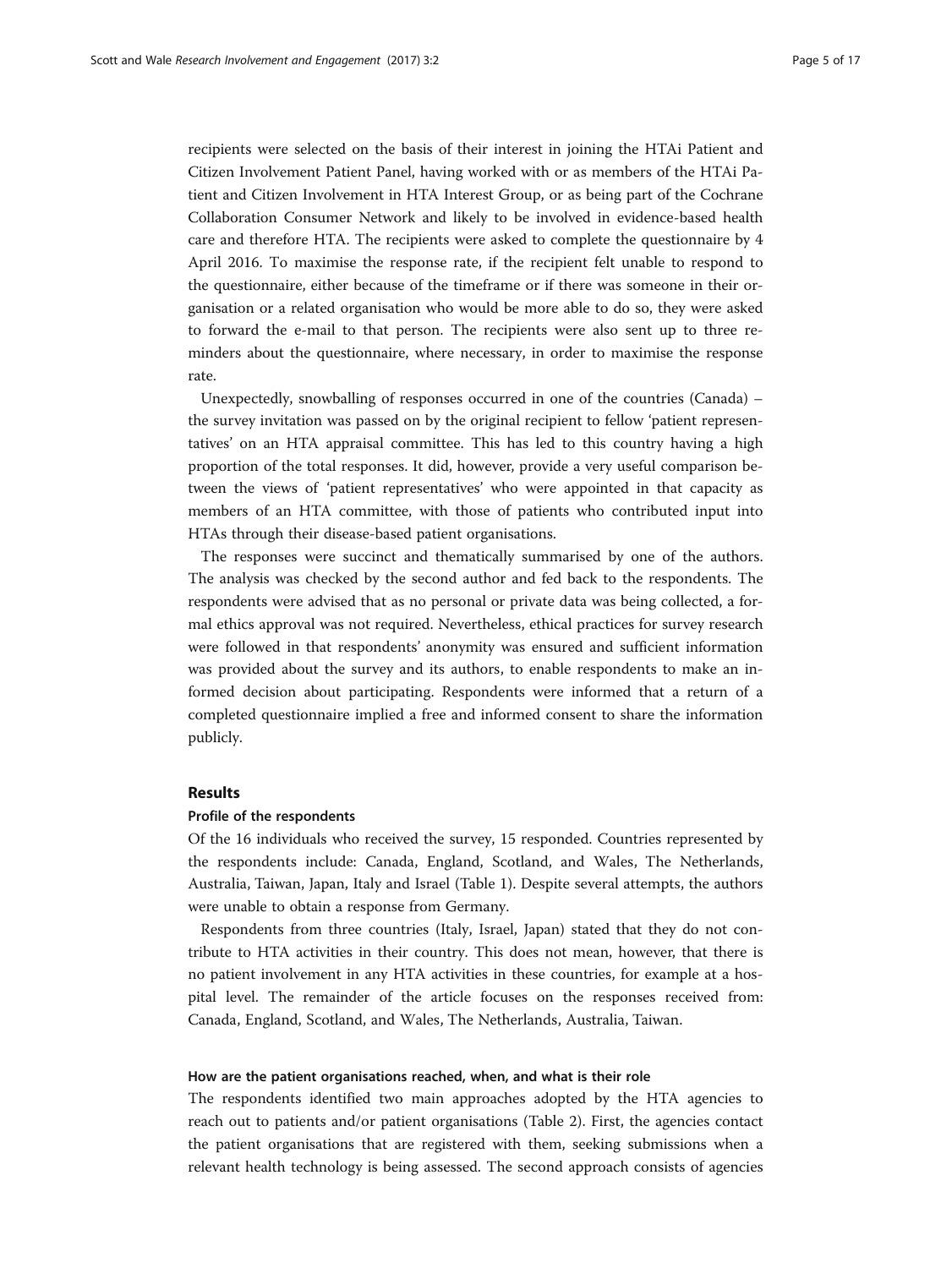recipients were selected on the basis of their interest in joining the HTAi Patient and Citizen Involvement Patient Panel, having worked with or as members of the HTAi Patient and Citizen Involvement in HTA Interest Group, or as being part of the Cochrane Collaboration Consumer Network and likely to be involved in evidence-based health care and therefore HTA. The recipients were asked to complete the questionnaire by 4 April 2016. To maximise the response rate, if the recipient felt unable to respond to the questionnaire, either because of the timeframe or if there was someone in their organisation or a related organisation who would be more able to do so, they were asked to forward the e-mail to that person. The recipients were also sent up to three reminders about the questionnaire, where necessary, in order to maximise the response rate.

Unexpectedly, snowballing of responses occurred in one of the countries (Canada) – the survey invitation was passed on by the original recipient to fellow 'patient representatives' on an HTA appraisal committee. This has led to this country having a high proportion of the total responses. It did, however, provide a very useful comparison between the views of 'patient representatives' who were appointed in that capacity as members of an HTA committee, with those of patients who contributed input into HTAs through their disease-based patient organisations.

The responses were succinct and thematically summarised by one of the authors. The analysis was checked by the second author and fed back to the respondents. The respondents were advised that as no personal or private data was being collected, a formal ethics approval was not required. Nevertheless, ethical practices for survey research were followed in that respondents' anonymity was ensured and sufficient information was provided about the survey and its authors, to enable respondents to make an informed decision about participating. Respondents were informed that a return of a completed questionnaire implied a free and informed consent to share the information publicly.

#### Results

#### Profile of the respondents

Of the 16 individuals who received the survey, 15 responded. Countries represented by the respondents include: Canada, England, Scotland, and Wales, The Netherlands, Australia, Taiwan, Japan, Italy and Israel (Table [1\)](#page-6-0). Despite several attempts, the authors were unable to obtain a response from Germany.

Respondents from three countries (Italy, Israel, Japan) stated that they do not contribute to HTA activities in their country. This does not mean, however, that there is no patient involvement in any HTA activities in these countries, for example at a hospital level. The remainder of the article focuses on the responses received from: Canada, England, Scotland, and Wales, The Netherlands, Australia, Taiwan.

#### How are the patient organisations reached, when, and what is their role

The respondents identified two main approaches adopted by the HTA agencies to reach out to patients and/or patient organisations (Table [2](#page-7-0)). First, the agencies contact the patient organisations that are registered with them, seeking submissions when a relevant health technology is being assessed. The second approach consists of agencies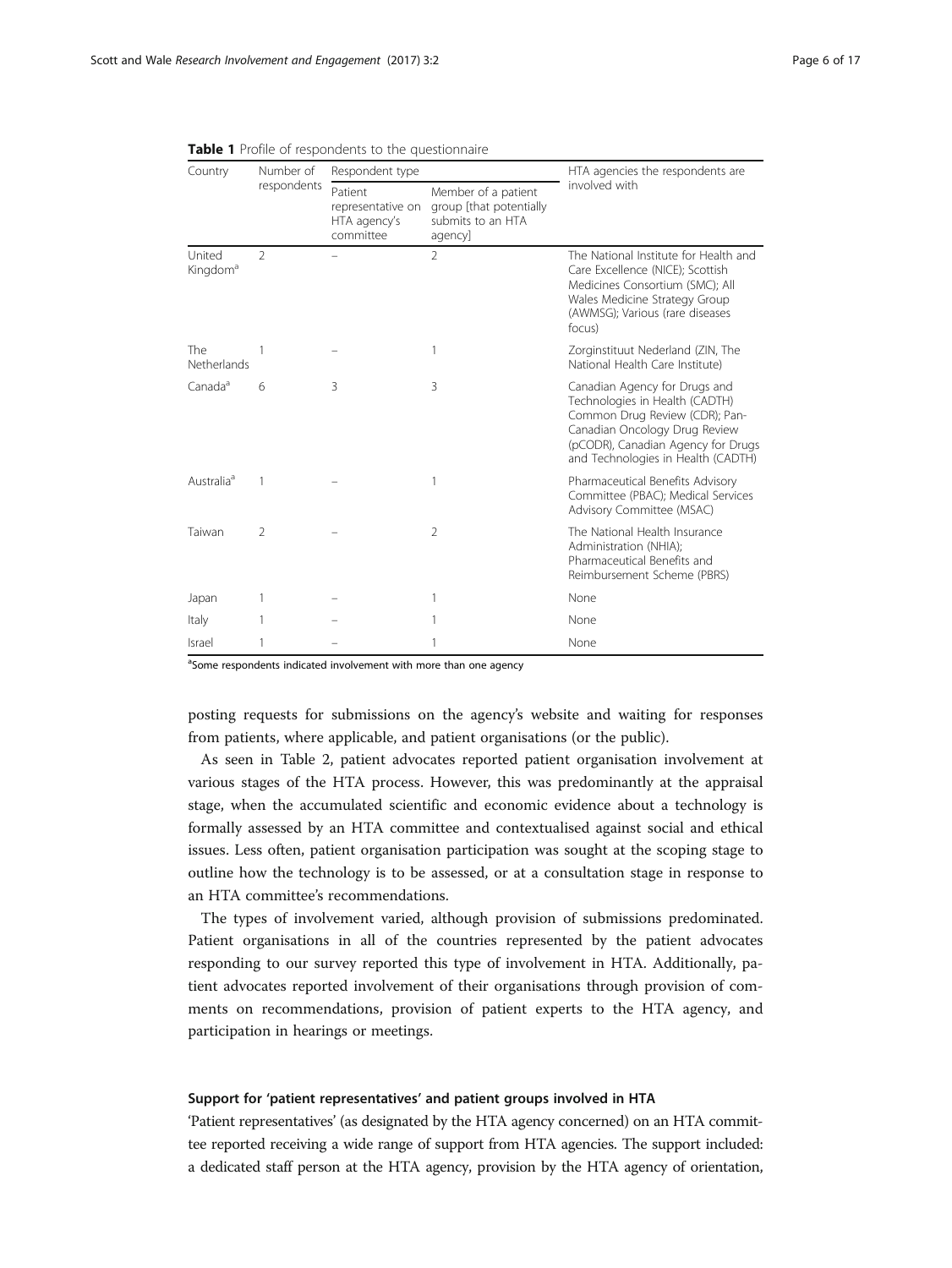| Country                        | Number of<br>respondents | Respondent type                                           |                                                                                | HTA agencies the respondents are                                                                                                                                                                               |
|--------------------------------|--------------------------|-----------------------------------------------------------|--------------------------------------------------------------------------------|----------------------------------------------------------------------------------------------------------------------------------------------------------------------------------------------------------------|
|                                |                          | Patient<br>representative on<br>HTA agency's<br>committee | Member of a patient<br>group [that potentially<br>submits to an HTA<br>agency] | involved with                                                                                                                                                                                                  |
| United<br>Kingdom <sup>a</sup> | $\mathfrak{D}$           |                                                           | $\overline{2}$                                                                 | The National Institute for Health and<br>Care Excellence (NICE); Scottish<br>Medicines Consortium (SMC); All<br>Wales Medicine Strategy Group<br>(AWMSG); Various (rare diseases<br>focus)                     |
| The<br><b>Netherlands</b>      |                          |                                                           |                                                                                | Zorginstituut Nederland (ZIN, The<br>National Health Care Institute)                                                                                                                                           |
| Canada <sup>a</sup>            | 6                        | 3                                                         | 3                                                                              | Canadian Agency for Drugs and<br>Technologies in Health (CADTH)<br>Common Drug Review (CDR); Pan-<br>Canadian Oncology Drug Review<br>(pCODR), Canadian Agency for Drugs<br>and Technologies in Health (CADTH) |
| Australia <sup>a</sup>         | $\mathbf{1}$             |                                                           |                                                                                | Pharmaceutical Benefits Advisory<br>Committee (PBAC); Medical Services<br>Advisory Committee (MSAC)                                                                                                            |
| Taiwan                         | $\overline{2}$           |                                                           | $\overline{2}$                                                                 | The National Health Insurance<br>Administration (NHIA):<br>Pharmaceutical Benefits and<br>Reimbursement Scheme (PBRS)                                                                                          |
| Japan                          | 1                        |                                                           |                                                                                | None                                                                                                                                                                                                           |
| Italy                          | 1                        |                                                           |                                                                                | None                                                                                                                                                                                                           |
| Israel                         | 1                        |                                                           |                                                                                | None                                                                                                                                                                                                           |

<span id="page-6-0"></span>

| Table 1 Profile of respondents to the questionnaire |  |
|-----------------------------------------------------|--|
|-----------------------------------------------------|--|

<sup>a</sup>Some respondents indicated involvement with more than one agency

posting requests for submissions on the agency's website and waiting for responses from patients, where applicable, and patient organisations (or the public).

As seen in Table [2,](#page-7-0) patient advocates reported patient organisation involvement at various stages of the HTA process. However, this was predominantly at the appraisal stage, when the accumulated scientific and economic evidence about a technology is formally assessed by an HTA committee and contextualised against social and ethical issues. Less often, patient organisation participation was sought at the scoping stage to outline how the technology is to be assessed, or at a consultation stage in response to an HTA committee's recommendations.

The types of involvement varied, although provision of submissions predominated. Patient organisations in all of the countries represented by the patient advocates responding to our survey reported this type of involvement in HTA. Additionally, patient advocates reported involvement of their organisations through provision of comments on recommendations, provision of patient experts to the HTA agency, and participation in hearings or meetings.

#### Support for 'patient representatives' and patient groups involved in HTA

'Patient representatives' (as designated by the HTA agency concerned) on an HTA committee reported receiving a wide range of support from HTA agencies. The support included: a dedicated staff person at the HTA agency, provision by the HTA agency of orientation,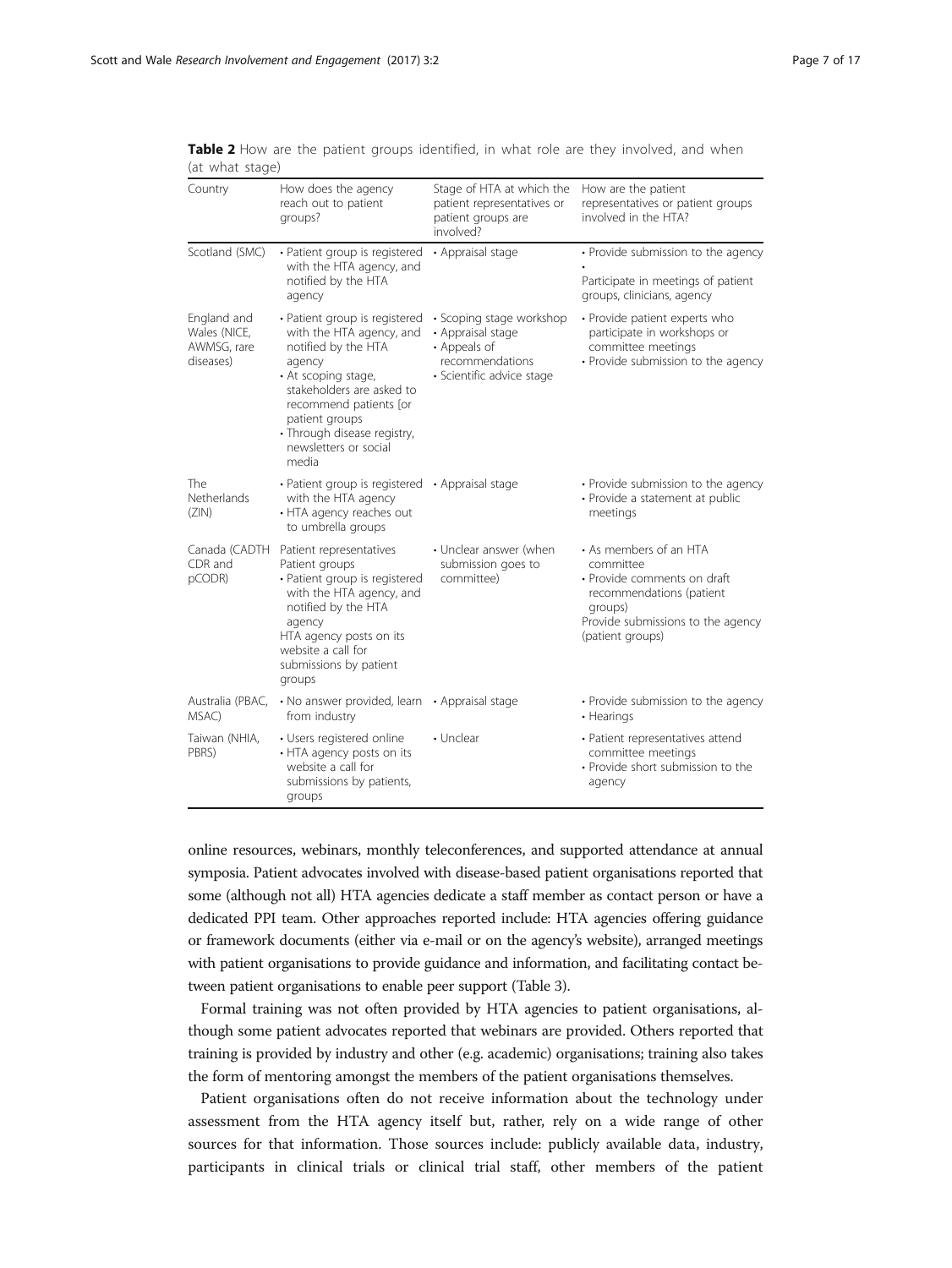| Country                                                 | How does the agency<br>reach out to patient<br>groups?                                                                                                                                                                                                      | Stage of HTA at which the<br>patient representatives or<br>patient groups are<br>involved?                    | How are the patient<br>representatives or patient groups<br>involved in the HTA?                                                                                   |
|---------------------------------------------------------|-------------------------------------------------------------------------------------------------------------------------------------------------------------------------------------------------------------------------------------------------------------|---------------------------------------------------------------------------------------------------------------|--------------------------------------------------------------------------------------------------------------------------------------------------------------------|
| Scotland (SMC)                                          | • Patient group is registered<br>with the HTA agency, and<br>notified by the HTA<br>agency                                                                                                                                                                  | • Appraisal stage                                                                                             | • Provide submission to the agency<br>Participate in meetings of patient<br>groups, clinicians, agency                                                             |
| England and<br>Wales (NICE,<br>AWMSG, rare<br>diseases) | • Patient group is registered<br>with the HTA agency, and<br>notified by the HTA<br>agency<br>• At scoping stage,<br>stakeholders are asked to<br>recommend patients [or<br>patient groups<br>· Through disease registry,<br>newsletters or social<br>media | · Scoping stage workshop<br>• Appraisal stage<br>• Appeals of<br>recommendations<br>· Scientific advice stage | • Provide patient experts who<br>participate in workshops or<br>committee meetings<br>• Provide submission to the agency                                           |
| The<br>Netherlands<br>(ZIN)                             | · Patient group is registered · Appraisal stage<br>with the HTA agency<br>• HTA agency reaches out<br>to umbrella groups                                                                                                                                    |                                                                                                               | • Provide submission to the agency<br>· Provide a statement at public<br>meetings                                                                                  |
| Canada (CADTH<br>CDR and<br>pCODR)                      | Patient representatives<br>Patient groups<br>• Patient group is registered<br>with the HTA agency, and<br>notified by the HTA<br>agency<br>HTA agency posts on its<br>website a call for<br>submissions by patient<br>groups                                | • Unclear answer (when<br>submission goes to<br>committee)                                                    | • As members of an HTA<br>committee<br>• Provide comments on draft<br>recommendations (patient<br>groups)<br>Provide submissions to the agency<br>(patient groups) |
| Australia (PBAC,<br>MSAC)                               | • No answer provided, learn<br>from industry                                                                                                                                                                                                                | • Appraisal stage                                                                                             | • Provide submission to the agency<br>• Hearings                                                                                                                   |
| Taiwan (NHIA,<br>PBRS)                                  | • Users registered online<br>• HTA agency posts on its<br>website a call for<br>submissions by patients,<br>groups                                                                                                                                          | • Unclear                                                                                                     | • Patient representatives attend<br>committee meetings<br>• Provide short submission to the<br>agency                                                              |

<span id="page-7-0"></span>Table 2 How are the patient groups identified, in what role are they involved, and when (at what stage)

online resources, webinars, monthly teleconferences, and supported attendance at annual symposia. Patient advocates involved with disease-based patient organisations reported that some (although not all) HTA agencies dedicate a staff member as contact person or have a dedicated PPI team. Other approaches reported include: HTA agencies offering guidance or framework documents (either via e-mail or on the agency's website), arranged meetings with patient organisations to provide guidance and information, and facilitating contact between patient organisations to enable peer support (Table [3\)](#page-8-0).

Formal training was not often provided by HTA agencies to patient organisations, although some patient advocates reported that webinars are provided. Others reported that training is provided by industry and other (e.g. academic) organisations; training also takes the form of mentoring amongst the members of the patient organisations themselves.

Patient organisations often do not receive information about the technology under assessment from the HTA agency itself but, rather, rely on a wide range of other sources for that information. Those sources include: publicly available data, industry, participants in clinical trials or clinical trial staff, other members of the patient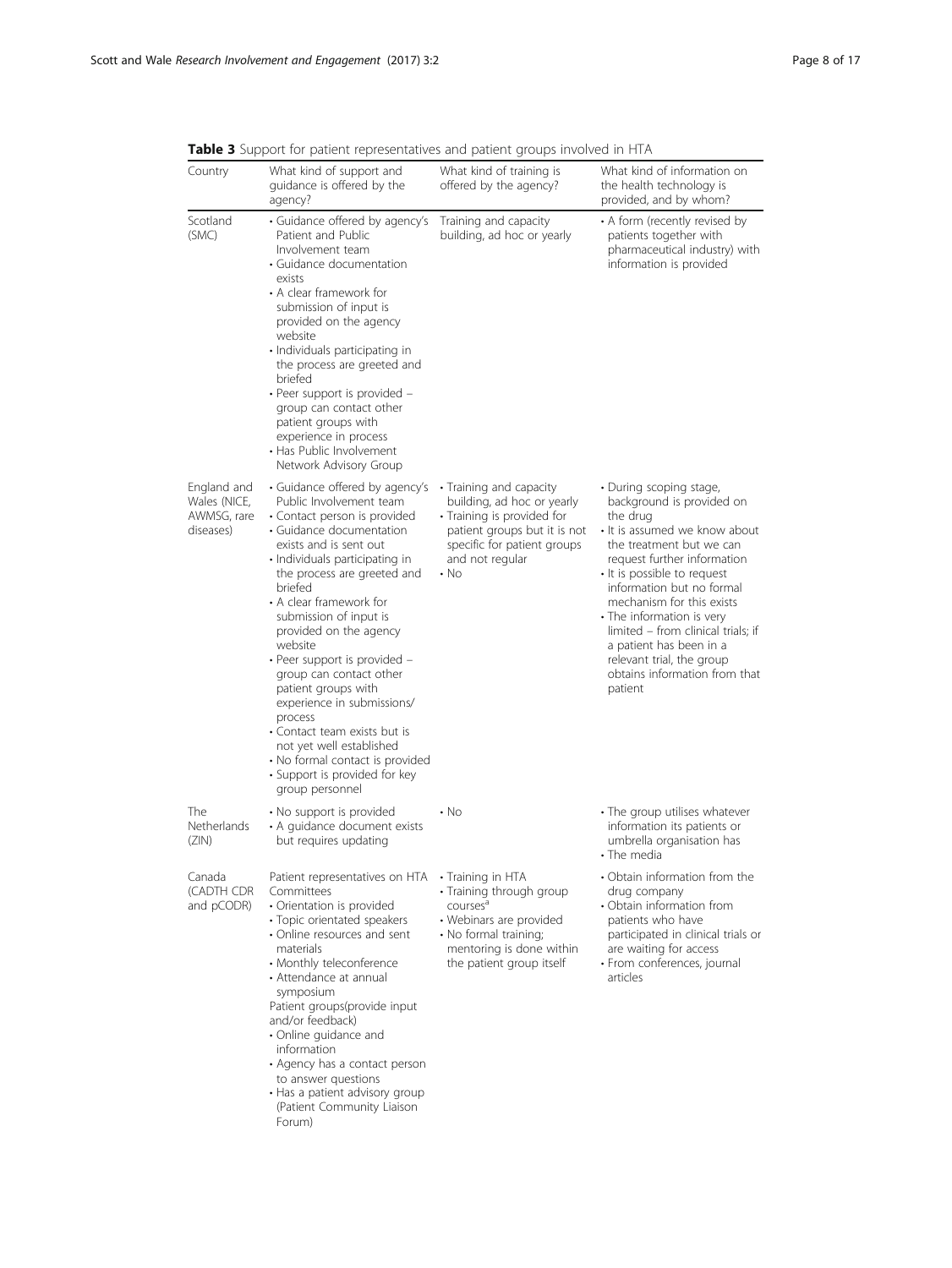| Country                                                 | What kind of support and<br>quidance is offered by the<br>agency?                                                                                                                                                                                                                                                                                                                                                                                                                                                                                                                                   | What kind of training is<br>offered by the agency?                                                                                                                                  | What kind of information on<br>the health technology is<br>provided, and by whom?                                                                                                                                                                                                                                                                                                                                            |
|---------------------------------------------------------|-----------------------------------------------------------------------------------------------------------------------------------------------------------------------------------------------------------------------------------------------------------------------------------------------------------------------------------------------------------------------------------------------------------------------------------------------------------------------------------------------------------------------------------------------------------------------------------------------------|-------------------------------------------------------------------------------------------------------------------------------------------------------------------------------------|------------------------------------------------------------------------------------------------------------------------------------------------------------------------------------------------------------------------------------------------------------------------------------------------------------------------------------------------------------------------------------------------------------------------------|
| Scotland<br>(SMC)                                       | • Guidance offered by agency's<br>Patient and Public<br>Involvement team<br>• Guidance documentation<br>exists<br>• A clear framework for<br>submission of input is<br>provided on the agency<br>website<br>• Individuals participating in<br>the process are greeted and<br>briefed<br>• Peer support is provided –<br>group can contact other<br>patient groups with<br>experience in process<br>• Has Public Involvement<br>Network Advisory Group                                                                                                                                               | Training and capacity<br>building, ad hoc or yearly                                                                                                                                 | • A form (recently revised by<br>patients together with<br>pharmaceutical industry) with<br>information is provided                                                                                                                                                                                                                                                                                                          |
| England and<br>Wales (NICE,<br>AWMSG, rare<br>diseases) | • Guidance offered by agency's<br>Public Involvement team<br>• Contact person is provided<br>• Guidance documentation<br>exists and is sent out<br>· Individuals participating in<br>the process are greeted and<br>briefed<br>• A clear framework for<br>submission of input is<br>provided on the agency<br>website<br>• Peer support is provided –<br>group can contact other<br>patient groups with<br>experience in submissions/<br>process<br>• Contact team exists but is<br>not yet well established<br>• No formal contact is provided<br>• Support is provided for key<br>group personnel | • Training and capacity<br>building, ad hoc or yearly<br>• Training is provided for<br>patient groups but it is not<br>specific for patient groups<br>and not regular<br>$\cdot$ No | • During scoping stage,<br>background is provided on<br>the drug<br>• It is assumed we know about<br>the treatment but we can<br>request further information<br>• It is possible to request<br>information but no formal<br>mechanism for this exists<br>• The information is very<br>limited – from clinical trials; if<br>a patient has been in a<br>relevant trial, the group<br>obtains information from that<br>patient |
| The<br>Netherlands<br>(ZIN)                             | • No support is provided<br>• A guidance document exists<br>but requires updating                                                                                                                                                                                                                                                                                                                                                                                                                                                                                                                   | • No                                                                                                                                                                                | • The group utilises whatever<br>information its patients or<br>umbrella organisation has<br>• The media                                                                                                                                                                                                                                                                                                                     |
| Canada<br>(CADTH CDR<br>and pCODR)                      | Patient representatives on HTA<br>Committees<br>· Orientation is provided<br>• Topic orientated speakers<br>• Online resources and sent<br>materials<br>• Monthly teleconference<br>• Attendance at annual<br>symposium<br>Patient groups(provide input<br>and/or feedback)<br>• Online guidance and<br>information<br>• Agency has a contact person<br>to answer questions<br>• Has a patient advisory group<br>(Patient Community Liaison<br>Forum)                                                                                                                                               | • Training in HTA<br>• Training through group<br>courses <sup>d</sup><br>• Webinars are provided<br>• No formal training;<br>mentoring is done within<br>the patient group itself   | • Obtain information from the<br>drug company<br>• Obtain information from<br>patients who have<br>participated in clinical trials or<br>are waiting for access<br>· From conferences, journal<br>articles                                                                                                                                                                                                                   |

<span id="page-8-0"></span>Table 3 Support for patient representatives and patient groups involved in HTA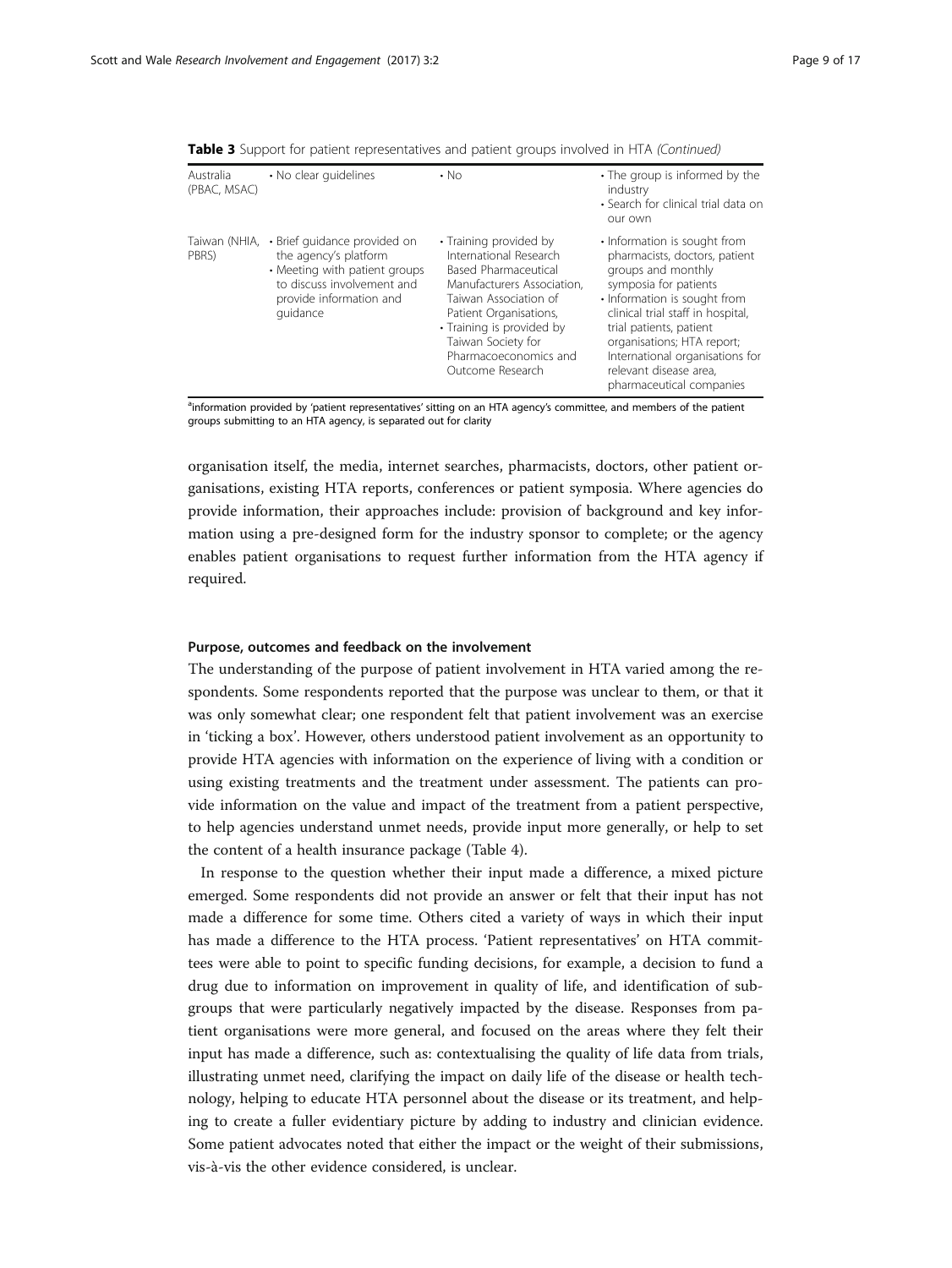| Australia<br>(PBAC, MSAC) | • No clear guidelines                                                                                                                                       | $\cdot$ No                                                                                                                                                                                                                                                | • The group is informed by the<br>industry<br>• Search for clinical trial data on<br>our own                                                                                                                                                                                                                                        |
|---------------------------|-------------------------------------------------------------------------------------------------------------------------------------------------------------|-----------------------------------------------------------------------------------------------------------------------------------------------------------------------------------------------------------------------------------------------------------|-------------------------------------------------------------------------------------------------------------------------------------------------------------------------------------------------------------------------------------------------------------------------------------------------------------------------------------|
| Taiwan (NHIA,<br>PBRS)    | • Brief quidance provided on<br>the agency's platform<br>• Meeting with patient groups<br>to discuss involvement and<br>provide information and<br>quidance | • Training provided by<br>International Research<br>Based Pharmaceutical<br>Manufacturers Association,<br>Taiwan Association of<br>Patient Organisations,<br>• Training is provided by<br>Taiwan Society for<br>Pharmacoeconomics and<br>Outcome Research | • Information is sought from<br>pharmacists, doctors, patient<br>groups and monthly<br>symposia for patients<br>· Information is sought from<br>clinical trial staff in hospital,<br>trial patients, patient<br>organisations; HTA report;<br>International organisations for<br>relevant disease area.<br>pharmaceutical companies |

Table 3 Support for patient representatives and patient groups involved in HTA (Continued)

ainformation provided by 'patient representatives' sitting on an HTA agency's committee, and members of the patient groups submitting to an HTA agency, is separated out for clarity

organisation itself, the media, internet searches, pharmacists, doctors, other patient organisations, existing HTA reports, conferences or patient symposia. Where agencies do provide information, their approaches include: provision of background and key information using a pre-designed form for the industry sponsor to complete; or the agency enables patient organisations to request further information from the HTA agency if required.

#### Purpose, outcomes and feedback on the involvement

The understanding of the purpose of patient involvement in HTA varied among the respondents. Some respondents reported that the purpose was unclear to them, or that it was only somewhat clear; one respondent felt that patient involvement was an exercise in 'ticking a box'. However, others understood patient involvement as an opportunity to provide HTA agencies with information on the experience of living with a condition or using existing treatments and the treatment under assessment. The patients can provide information on the value and impact of the treatment from a patient perspective, to help agencies understand unmet needs, provide input more generally, or help to set the content of a health insurance package (Table [4\)](#page-10-0).

In response to the question whether their input made a difference, a mixed picture emerged. Some respondents did not provide an answer or felt that their input has not made a difference for some time. Others cited a variety of ways in which their input has made a difference to the HTA process. 'Patient representatives' on HTA committees were able to point to specific funding decisions, for example, a decision to fund a drug due to information on improvement in quality of life, and identification of subgroups that were particularly negatively impacted by the disease. Responses from patient organisations were more general, and focused on the areas where they felt their input has made a difference, such as: contextualising the quality of life data from trials, illustrating unmet need, clarifying the impact on daily life of the disease or health technology, helping to educate HTA personnel about the disease or its treatment, and helping to create a fuller evidentiary picture by adding to industry and clinician evidence. Some patient advocates noted that either the impact or the weight of their submissions, vis-à-vis the other evidence considered, is unclear.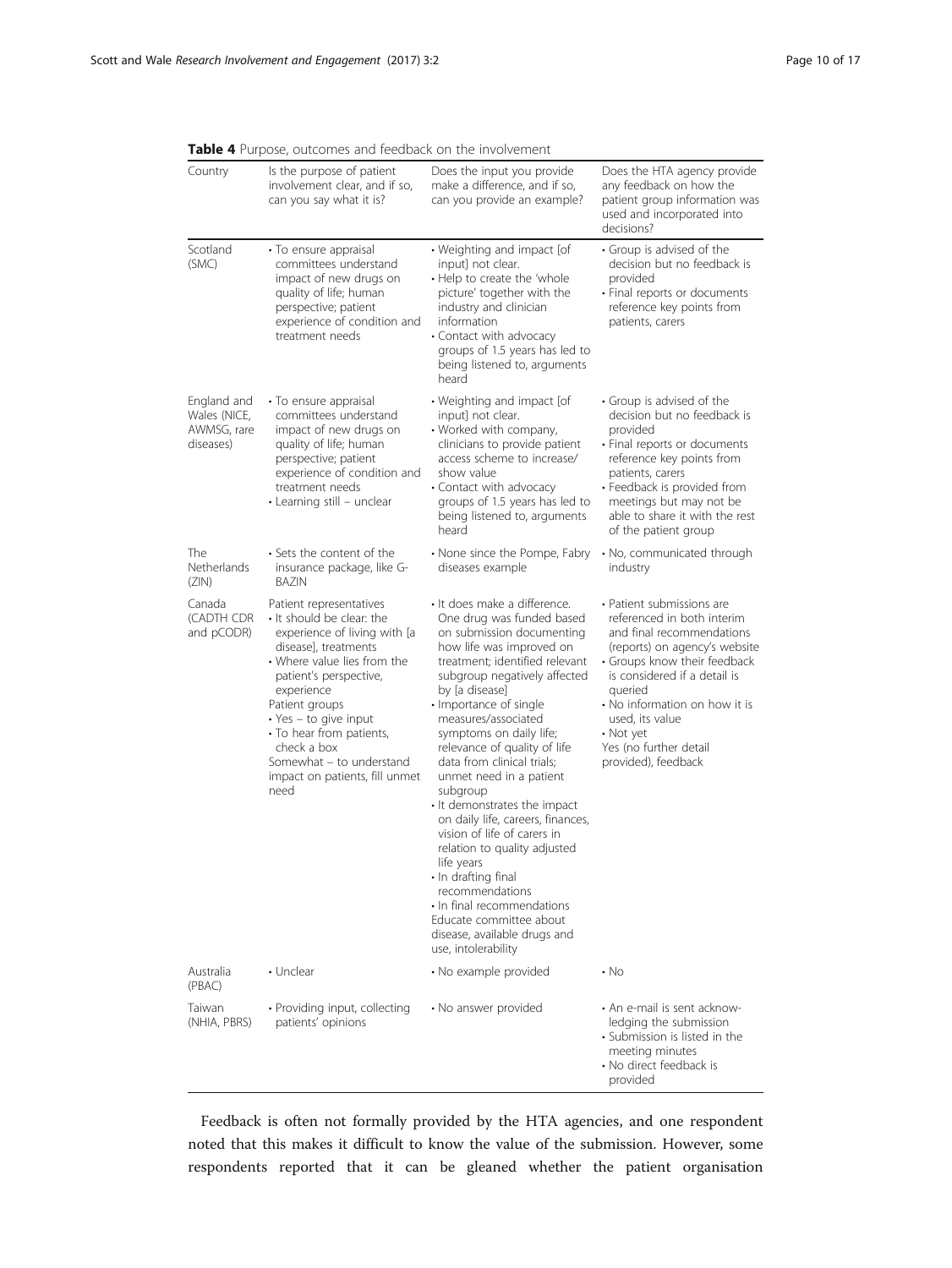| Country                                                 | Is the purpose of patient<br>involvement clear, and if so,<br>can you say what it is?                                                                                                                                                                                                                                                           | Does the input you provide<br>make a difference, and if so,<br>can you provide an example?                                                                                                                                                                                                                                                                                                                                                                                                                                                                                                                                                                                                                | Does the HTA agency provide<br>any feedback on how the<br>patient group information was<br>used and incorporated into<br>decisions?                                                                                                                                                                                |
|---------------------------------------------------------|-------------------------------------------------------------------------------------------------------------------------------------------------------------------------------------------------------------------------------------------------------------------------------------------------------------------------------------------------|-----------------------------------------------------------------------------------------------------------------------------------------------------------------------------------------------------------------------------------------------------------------------------------------------------------------------------------------------------------------------------------------------------------------------------------------------------------------------------------------------------------------------------------------------------------------------------------------------------------------------------------------------------------------------------------------------------------|--------------------------------------------------------------------------------------------------------------------------------------------------------------------------------------------------------------------------------------------------------------------------------------------------------------------|
| Scotland<br>(SMC)                                       | • To ensure appraisal<br>committees understand<br>impact of new drugs on<br>quality of life; human<br>perspective; patient<br>experience of condition and<br>treatment needs                                                                                                                                                                    | • Weighting and impact [of<br>input] not clear.<br>• Help to create the 'whole<br>picture' together with the<br>industry and clinician<br>information<br>• Contact with advocacy<br>groups of 1.5 years has led to<br>being listened to, arguments<br>heard                                                                                                                                                                                                                                                                                                                                                                                                                                               | • Group is advised of the<br>decision but no feedback is<br>provided<br>· Final reports or documents<br>reference key points from<br>patients, carers                                                                                                                                                              |
| England and<br>Wales (NICE,<br>AWMSG, rare<br>diseases) | • To ensure appraisal<br>committees understand<br>impact of new drugs on<br>quality of life; human<br>perspective; patient<br>experience of condition and<br>treatment needs<br>• Learning still - unclear                                                                                                                                      | • Weighting and impact [of<br>input] not clear.<br>• Worked with company,<br>clinicians to provide patient<br>access scheme to increase/<br>show value<br>• Contact with advocacy<br>groups of 1.5 years has led to<br>being listened to, arguments<br>heard                                                                                                                                                                                                                                                                                                                                                                                                                                              | • Group is advised of the<br>decision but no feedback is<br>provided<br>• Final reports or documents<br>reference key points from<br>patients, carers<br>• Feedback is provided from<br>meetings but may not be<br>able to share it with the rest<br>of the patient group                                          |
| The<br>Netherlands<br>(ZIN)                             | • Sets the content of the<br>insurance package, like G-<br><b>BAZIN</b>                                                                                                                                                                                                                                                                         | • None since the Pompe, Fabry<br>diseases example                                                                                                                                                                                                                                                                                                                                                                                                                                                                                                                                                                                                                                                         | • No, communicated through<br>industry                                                                                                                                                                                                                                                                             |
| Canada<br>(CADTH CDR<br>and pCODR)                      | Patient representatives<br>• It should be clear: the<br>experience of living with [a<br>disease], treatments<br>• Where value lies from the<br>patient's perspective,<br>experience<br>Patient groups<br>· Yes - to give input<br>• To hear from patients,<br>check a box<br>Somewhat - to understand<br>impact on patients, fill unmet<br>need | • It does make a difference.<br>One drug was funded based<br>on submission documenting<br>how life was improved on<br>treatment; identified relevant<br>subgroup negatively affected<br>by [a disease]<br>· Importance of single<br>measures/associated<br>symptoms on daily life;<br>relevance of quality of life<br>data from clinical trials;<br>unmet need in a patient<br>subgroup<br>• It demonstrates the impact<br>on daily life, careers, finances,<br>vision of life of carers in<br>relation to quality adjusted<br>life years<br>$\cdot$ In drafting final<br>recommendations<br>• In final recommendations<br>Educate committee about<br>disease, available drugs and<br>use, intolerability | • Patient submissions are<br>referenced in both interim<br>and final recommendations<br>(reports) on agency's website<br>• Groups know their feedback<br>is considered if a detail is<br>queried<br>• No information on how it is<br>used, its value<br>• Not yet<br>Yes (no further detail<br>provided), feedback |
| Australia<br>(PBAC)                                     | • Unclear                                                                                                                                                                                                                                                                                                                                       | • No example provided                                                                                                                                                                                                                                                                                                                                                                                                                                                                                                                                                                                                                                                                                     | $\cdot$ No                                                                                                                                                                                                                                                                                                         |
| Taiwan<br>(NHIA, PBRS)                                  | • Providing input, collecting<br>patients' opinions                                                                                                                                                                                                                                                                                             | • No answer provided                                                                                                                                                                                                                                                                                                                                                                                                                                                                                                                                                                                                                                                                                      | • An e-mail is sent acknow-<br>ledging the submission<br>• Submission is listed in the<br>meeting minutes<br>• No direct feedback is<br>provided                                                                                                                                                                   |

<span id="page-10-0"></span>Table 4 Purpose, outcomes and feedback on the involvement

Feedback is often not formally provided by the HTA agencies, and one respondent noted that this makes it difficult to know the value of the submission. However, some respondents reported that it can be gleaned whether the patient organisation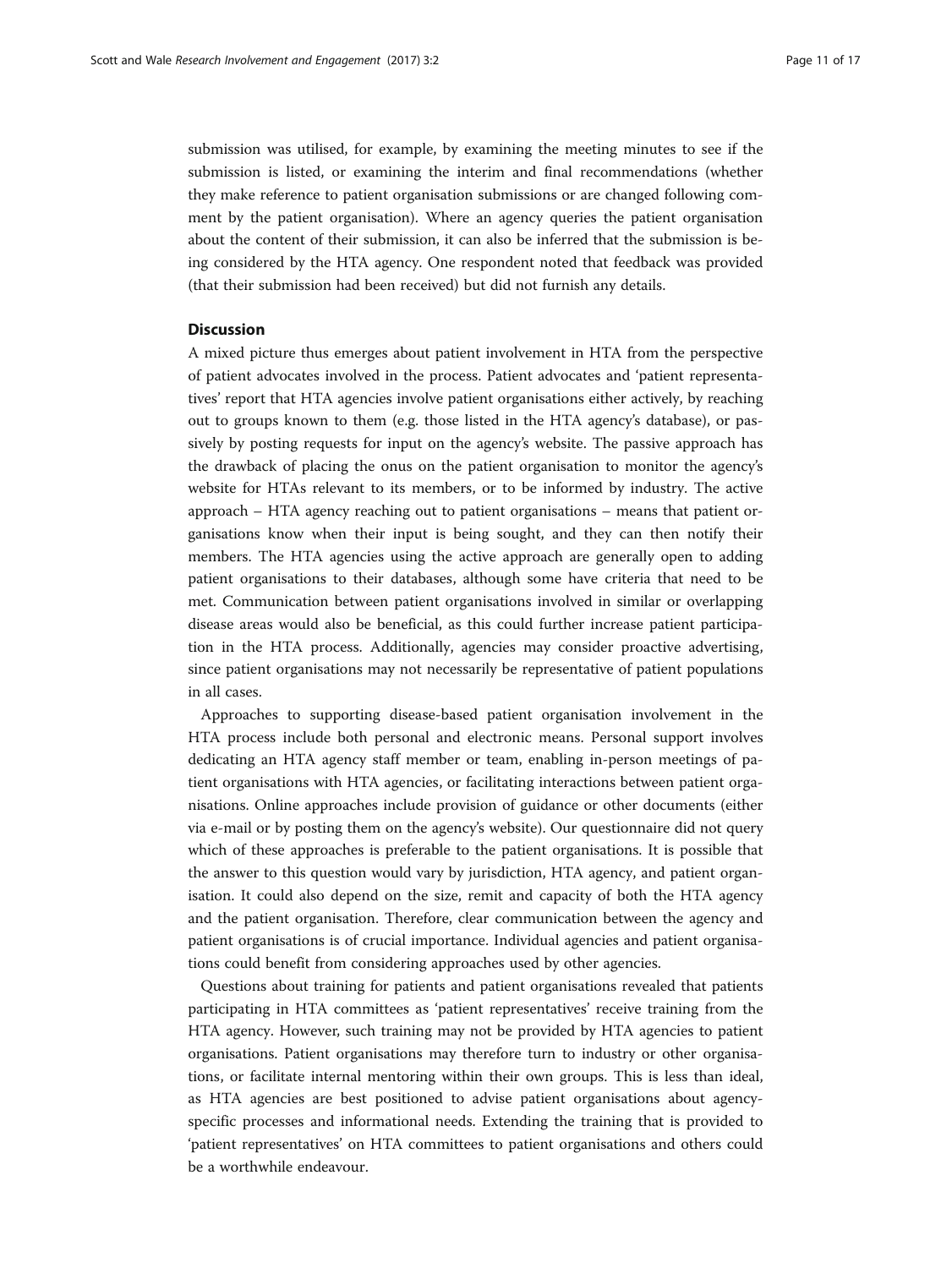submission was utilised, for example, by examining the meeting minutes to see if the submission is listed, or examining the interim and final recommendations (whether they make reference to patient organisation submissions or are changed following comment by the patient organisation). Where an agency queries the patient organisation about the content of their submission, it can also be inferred that the submission is being considered by the HTA agency. One respondent noted that feedback was provided (that their submission had been received) but did not furnish any details.

#### **Discussion**

A mixed picture thus emerges about patient involvement in HTA from the perspective of patient advocates involved in the process. Patient advocates and 'patient representatives' report that HTA agencies involve patient organisations either actively, by reaching out to groups known to them (e.g. those listed in the HTA agency's database), or passively by posting requests for input on the agency's website. The passive approach has the drawback of placing the onus on the patient organisation to monitor the agency's website for HTAs relevant to its members, or to be informed by industry. The active approach – HTA agency reaching out to patient organisations – means that patient organisations know when their input is being sought, and they can then notify their members. The HTA agencies using the active approach are generally open to adding patient organisations to their databases, although some have criteria that need to be met. Communication between patient organisations involved in similar or overlapping disease areas would also be beneficial, as this could further increase patient participation in the HTA process. Additionally, agencies may consider proactive advertising, since patient organisations may not necessarily be representative of patient populations in all cases.

Approaches to supporting disease-based patient organisation involvement in the HTA process include both personal and electronic means. Personal support involves dedicating an HTA agency staff member or team, enabling in-person meetings of patient organisations with HTA agencies, or facilitating interactions between patient organisations. Online approaches include provision of guidance or other documents (either via e-mail or by posting them on the agency's website). Our questionnaire did not query which of these approaches is preferable to the patient organisations. It is possible that the answer to this question would vary by jurisdiction, HTA agency, and patient organisation. It could also depend on the size, remit and capacity of both the HTA agency and the patient organisation. Therefore, clear communication between the agency and patient organisations is of crucial importance. Individual agencies and patient organisations could benefit from considering approaches used by other agencies.

Questions about training for patients and patient organisations revealed that patients participating in HTA committees as 'patient representatives' receive training from the HTA agency. However, such training may not be provided by HTA agencies to patient organisations. Patient organisations may therefore turn to industry or other organisations, or facilitate internal mentoring within their own groups. This is less than ideal, as HTA agencies are best positioned to advise patient organisations about agencyspecific processes and informational needs. Extending the training that is provided to 'patient representatives' on HTA committees to patient organisations and others could be a worthwhile endeavour.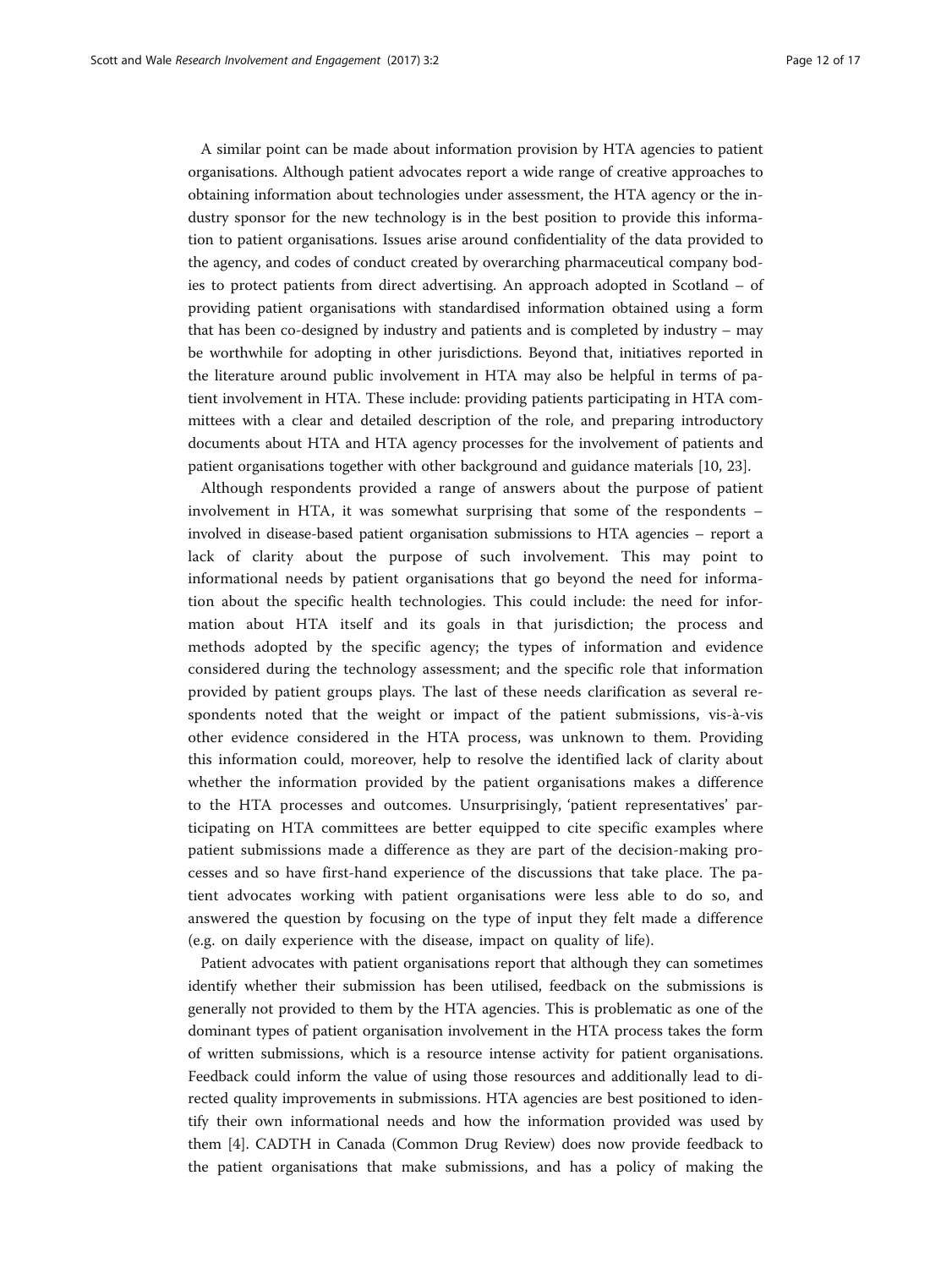A similar point can be made about information provision by HTA agencies to patient organisations. Although patient advocates report a wide range of creative approaches to obtaining information about technologies under assessment, the HTA agency or the industry sponsor for the new technology is in the best position to provide this information to patient organisations. Issues arise around confidentiality of the data provided to the agency, and codes of conduct created by overarching pharmaceutical company bodies to protect patients from direct advertising. An approach adopted in Scotland – of providing patient organisations with standardised information obtained using a form that has been co-designed by industry and patients and is completed by industry – may be worthwhile for adopting in other jurisdictions. Beyond that, initiatives reported in the literature around public involvement in HTA may also be helpful in terms of patient involvement in HTA. These include: providing patients participating in HTA committees with a clear and detailed description of the role, and preparing introductory documents about HTA and HTA agency processes for the involvement of patients and patient organisations together with other background and guidance materials [\[10,](#page-16-0) [23\]](#page-17-0).

Although respondents provided a range of answers about the purpose of patient involvement in HTA, it was somewhat surprising that some of the respondents – involved in disease-based patient organisation submissions to HTA agencies – report a lack of clarity about the purpose of such involvement. This may point to informational needs by patient organisations that go beyond the need for information about the specific health technologies. This could include: the need for information about HTA itself and its goals in that jurisdiction; the process and methods adopted by the specific agency; the types of information and evidence considered during the technology assessment; and the specific role that information provided by patient groups plays. The last of these needs clarification as several respondents noted that the weight or impact of the patient submissions, vis-à-vis other evidence considered in the HTA process, was unknown to them. Providing this information could, moreover, help to resolve the identified lack of clarity about whether the information provided by the patient organisations makes a difference to the HTA processes and outcomes. Unsurprisingly, 'patient representatives' participating on HTA committees are better equipped to cite specific examples where patient submissions made a difference as they are part of the decision-making processes and so have first-hand experience of the discussions that take place. The patient advocates working with patient organisations were less able to do so, and answered the question by focusing on the type of input they felt made a difference (e.g. on daily experience with the disease, impact on quality of life).

Patient advocates with patient organisations report that although they can sometimes identify whether their submission has been utilised, feedback on the submissions is generally not provided to them by the HTA agencies. This is problematic as one of the dominant types of patient organisation involvement in the HTA process takes the form of written submissions, which is a resource intense activity for patient organisations. Feedback could inform the value of using those resources and additionally lead to directed quality improvements in submissions. HTA agencies are best positioned to identify their own informational needs and how the information provided was used by them [[4\]](#page-16-0). CADTH in Canada (Common Drug Review) does now provide feedback to the patient organisations that make submissions, and has a policy of making the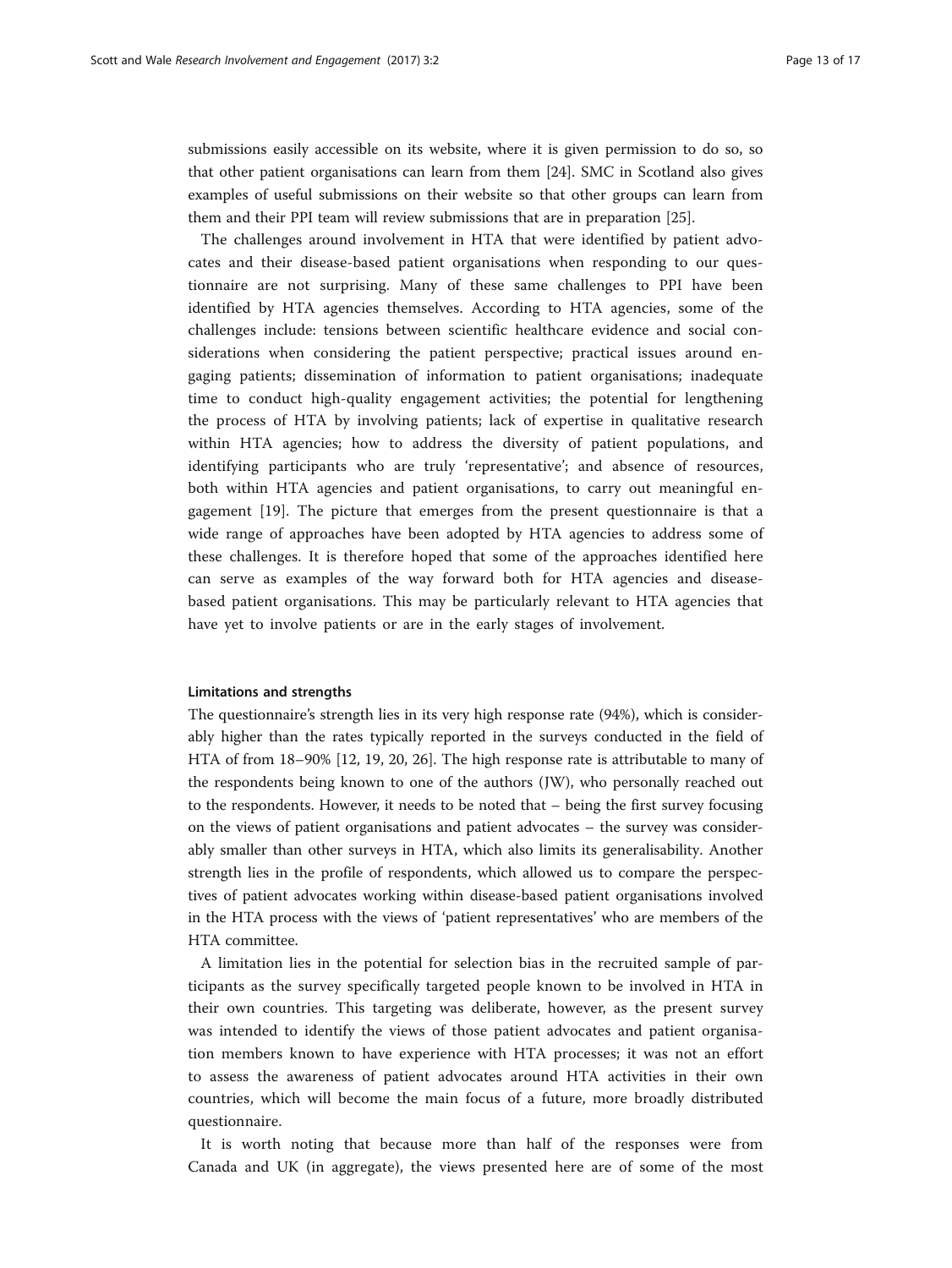submissions easily accessible on its website, where it is given permission to do so, so that other patient organisations can learn from them [[24\]](#page-17-0). SMC in Scotland also gives examples of useful submissions on their website so that other groups can learn from them and their PPI team will review submissions that are in preparation [[25\]](#page-17-0).

The challenges around involvement in HTA that were identified by patient advocates and their disease-based patient organisations when responding to our questionnaire are not surprising. Many of these same challenges to PPI have been identified by HTA agencies themselves. According to HTA agencies, some of the challenges include: tensions between scientific healthcare evidence and social considerations when considering the patient perspective; practical issues around engaging patients; dissemination of information to patient organisations; inadequate time to conduct high-quality engagement activities; the potential for lengthening the process of HTA by involving patients; lack of expertise in qualitative research within HTA agencies; how to address the diversity of patient populations, and identifying participants who are truly 'representative'; and absence of resources, both within HTA agencies and patient organisations, to carry out meaningful engagement [[19\]](#page-16-0). The picture that emerges from the present questionnaire is that a wide range of approaches have been adopted by HTA agencies to address some of these challenges. It is therefore hoped that some of the approaches identified here can serve as examples of the way forward both for HTA agencies and diseasebased patient organisations. This may be particularly relevant to HTA agencies that have yet to involve patients or are in the early stages of involvement.

#### Limitations and strengths

The questionnaire's strength lies in its very high response rate (94%), which is considerably higher than the rates typically reported in the surveys conducted in the field of HTA of from 18–90% [\[12](#page-16-0), [19](#page-16-0), [20](#page-16-0), [26](#page-17-0)]. The high response rate is attributable to many of the respondents being known to one of the authors (JW), who personally reached out to the respondents. However, it needs to be noted that – being the first survey focusing on the views of patient organisations and patient advocates – the survey was considerably smaller than other surveys in HTA, which also limits its generalisability. Another strength lies in the profile of respondents, which allowed us to compare the perspectives of patient advocates working within disease-based patient organisations involved in the HTA process with the views of 'patient representatives' who are members of the HTA committee.

A limitation lies in the potential for selection bias in the recruited sample of participants as the survey specifically targeted people known to be involved in HTA in their own countries. This targeting was deliberate, however, as the present survey was intended to identify the views of those patient advocates and patient organisation members known to have experience with HTA processes; it was not an effort to assess the awareness of patient advocates around HTA activities in their own countries, which will become the main focus of a future, more broadly distributed questionnaire.

It is worth noting that because more than half of the responses were from Canada and UK (in aggregate), the views presented here are of some of the most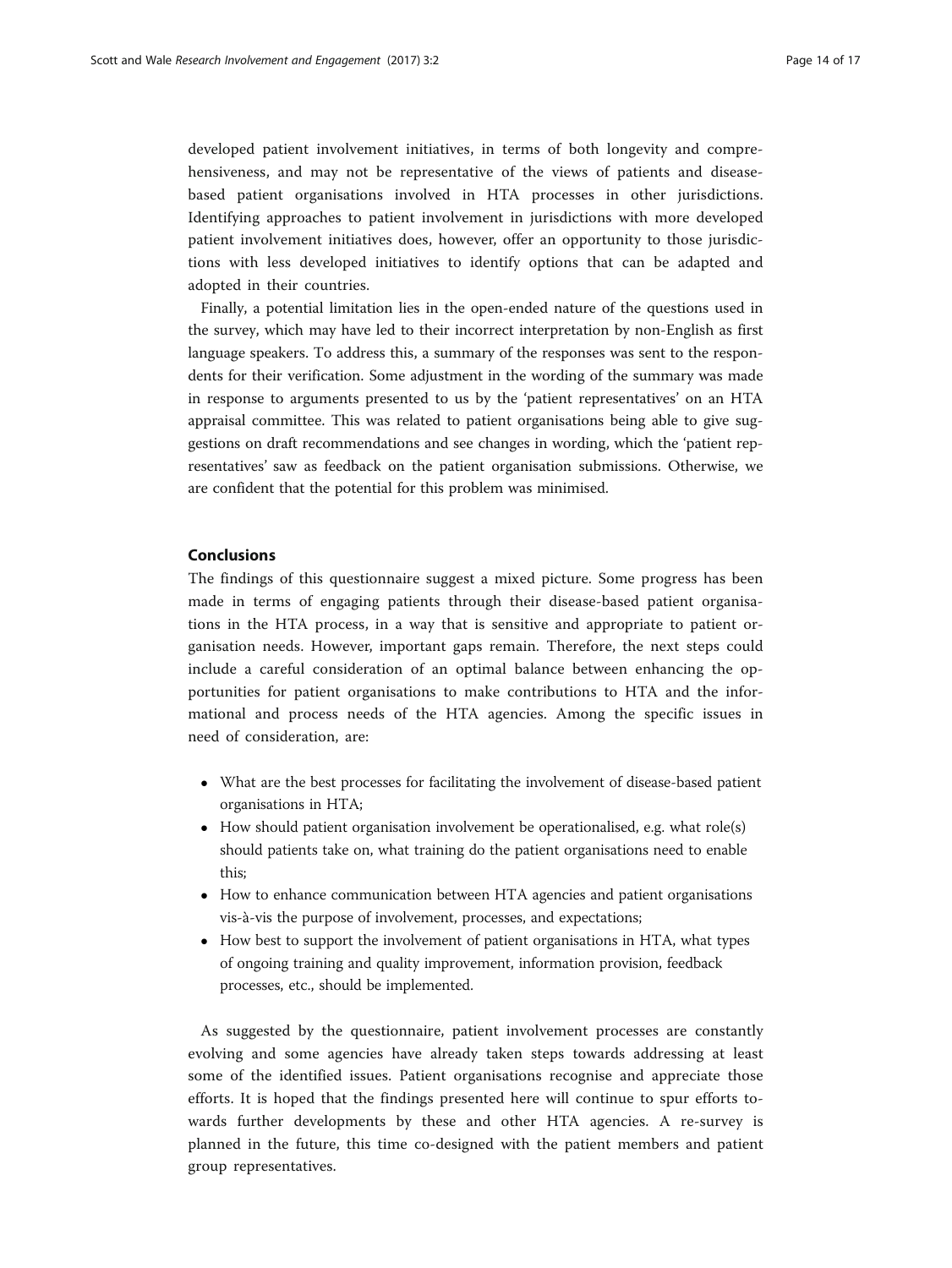developed patient involvement initiatives, in terms of both longevity and comprehensiveness, and may not be representative of the views of patients and diseasebased patient organisations involved in HTA processes in other jurisdictions. Identifying approaches to patient involvement in jurisdictions with more developed patient involvement initiatives does, however, offer an opportunity to those jurisdictions with less developed initiatives to identify options that can be adapted and adopted in their countries.

Finally, a potential limitation lies in the open-ended nature of the questions used in the survey, which may have led to their incorrect interpretation by non-English as first language speakers. To address this, a summary of the responses was sent to the respondents for their verification. Some adjustment in the wording of the summary was made in response to arguments presented to us by the 'patient representatives' on an HTA appraisal committee. This was related to patient organisations being able to give suggestions on draft recommendations and see changes in wording, which the 'patient representatives' saw as feedback on the patient organisation submissions. Otherwise, we are confident that the potential for this problem was minimised.

#### Conclusions

The findings of this questionnaire suggest a mixed picture. Some progress has been made in terms of engaging patients through their disease-based patient organisations in the HTA process, in a way that is sensitive and appropriate to patient organisation needs. However, important gaps remain. Therefore, the next steps could include a careful consideration of an optimal balance between enhancing the opportunities for patient organisations to make contributions to HTA and the informational and process needs of the HTA agencies. Among the specific issues in need of consideration, are:

- What are the best processes for facilitating the involvement of disease-based patient organisations in HTA;
- How should patient organisation involvement be operationalised, e.g. what role(s) should patients take on, what training do the patient organisations need to enable this;
- How to enhance communication between HTA agencies and patient organisations vis-à-vis the purpose of involvement, processes, and expectations;
- How best to support the involvement of patient organisations in HTA, what types of ongoing training and quality improvement, information provision, feedback processes, etc., should be implemented.

As suggested by the questionnaire, patient involvement processes are constantly evolving and some agencies have already taken steps towards addressing at least some of the identified issues. Patient organisations recognise and appreciate those efforts. It is hoped that the findings presented here will continue to spur efforts towards further developments by these and other HTA agencies. A re-survey is planned in the future, this time co-designed with the patient members and patient group representatives.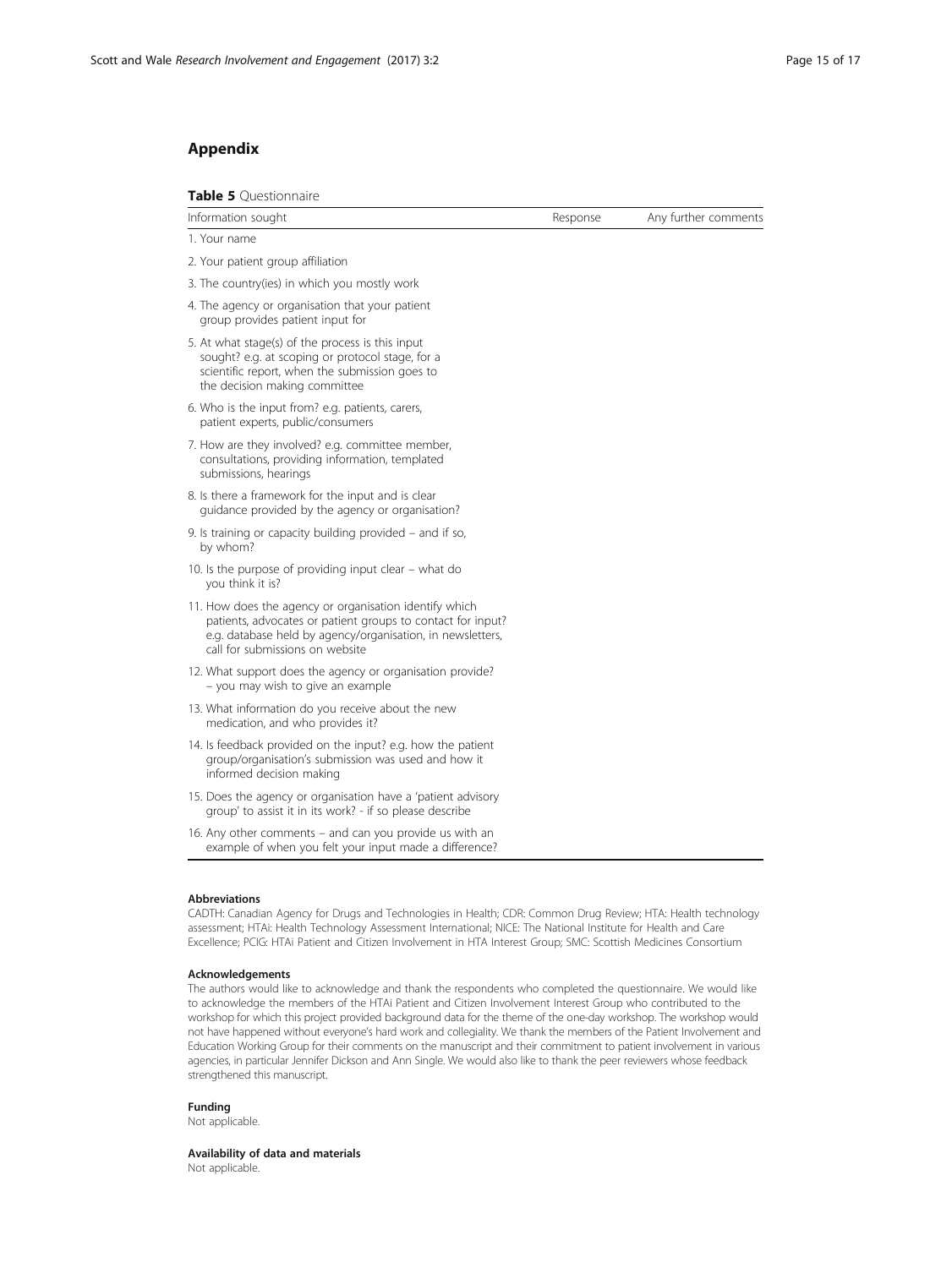#### <span id="page-15-0"></span>Appendix

#### Table 5 Questionnaire

| Information sought                                                                                                                                                                                                     | Response | Any further comments |
|------------------------------------------------------------------------------------------------------------------------------------------------------------------------------------------------------------------------|----------|----------------------|
| 1. Your name                                                                                                                                                                                                           |          |                      |
| 2. Your patient group affiliation                                                                                                                                                                                      |          |                      |
| 3. The country(ies) in which you mostly work                                                                                                                                                                           |          |                      |
| 4. The agency or organisation that your patient<br>group provides patient input for                                                                                                                                    |          |                      |
| 5. At what stage(s) of the process is this input<br>sought? e.g. at scoping or protocol stage, for a<br>scientific report, when the submission goes to<br>the decision making committee                                |          |                      |
| 6. Who is the input from? e.g. patients, carers,<br>patient experts, public/consumers                                                                                                                                  |          |                      |
| 7. How are they involved? e.g. committee member,<br>consultations, providing information, templated<br>submissions, hearings                                                                                           |          |                      |
| 8. Is there a framework for the input and is clear<br>quidance provided by the agency or organisation?                                                                                                                 |          |                      |
| 9. Is training or capacity building provided – and if so,<br>by whom?                                                                                                                                                  |          |                      |
| 10. Is the purpose of providing input clear – what do<br>you think it is?                                                                                                                                              |          |                      |
| 11. How does the agency or organisation identify which<br>patients, advocates or patient groups to contact for input?<br>e.g. database held by agency/organisation, in newsletters,<br>call for submissions on website |          |                      |
| 12. What support does the agency or organisation provide?<br>- you may wish to give an example                                                                                                                         |          |                      |
| 13. What information do you receive about the new<br>medication, and who provides it?                                                                                                                                  |          |                      |
| 14. Is feedback provided on the input? e.g. how the patient<br>group/organisation's submission was used and how it<br>informed decision making                                                                         |          |                      |
| 15. Does the agency or organisation have a 'patient advisory<br>group' to assist it in its work? - if so please describe                                                                                               |          |                      |
| 16. Any other comments - and can you provide us with an<br>example of when you felt your input made a difference?                                                                                                      |          |                      |

#### Abbreviations

CADTH: Canadian Agency for Drugs and Technologies in Health; CDR: Common Drug Review; HTA: Health technology assessment; HTAi: Health Technology Assessment International; NICE: The National Institute for Health and Care Excellence; PCIG: HTAi Patient and Citizen Involvement in HTA Interest Group; SMC: Scottish Medicines Consortium

#### Acknowledgements

The authors would like to acknowledge and thank the respondents who completed the questionnaire. We would like to acknowledge the members of the HTAi Patient and Citizen Involvement Interest Group who contributed to the workshop for which this project provided background data for the theme of the one-day workshop. The workshop would not have happened without everyone's hard work and collegiality. We thank the members of the Patient Involvement and Education Working Group for their comments on the manuscript and their commitment to patient involvement in various agencies, in particular Jennifer Dickson and Ann Single. We would also like to thank the peer reviewers whose feedback strengthened this manuscript.

#### Funding

Not applicable.

Availability of data and materials Not applicable.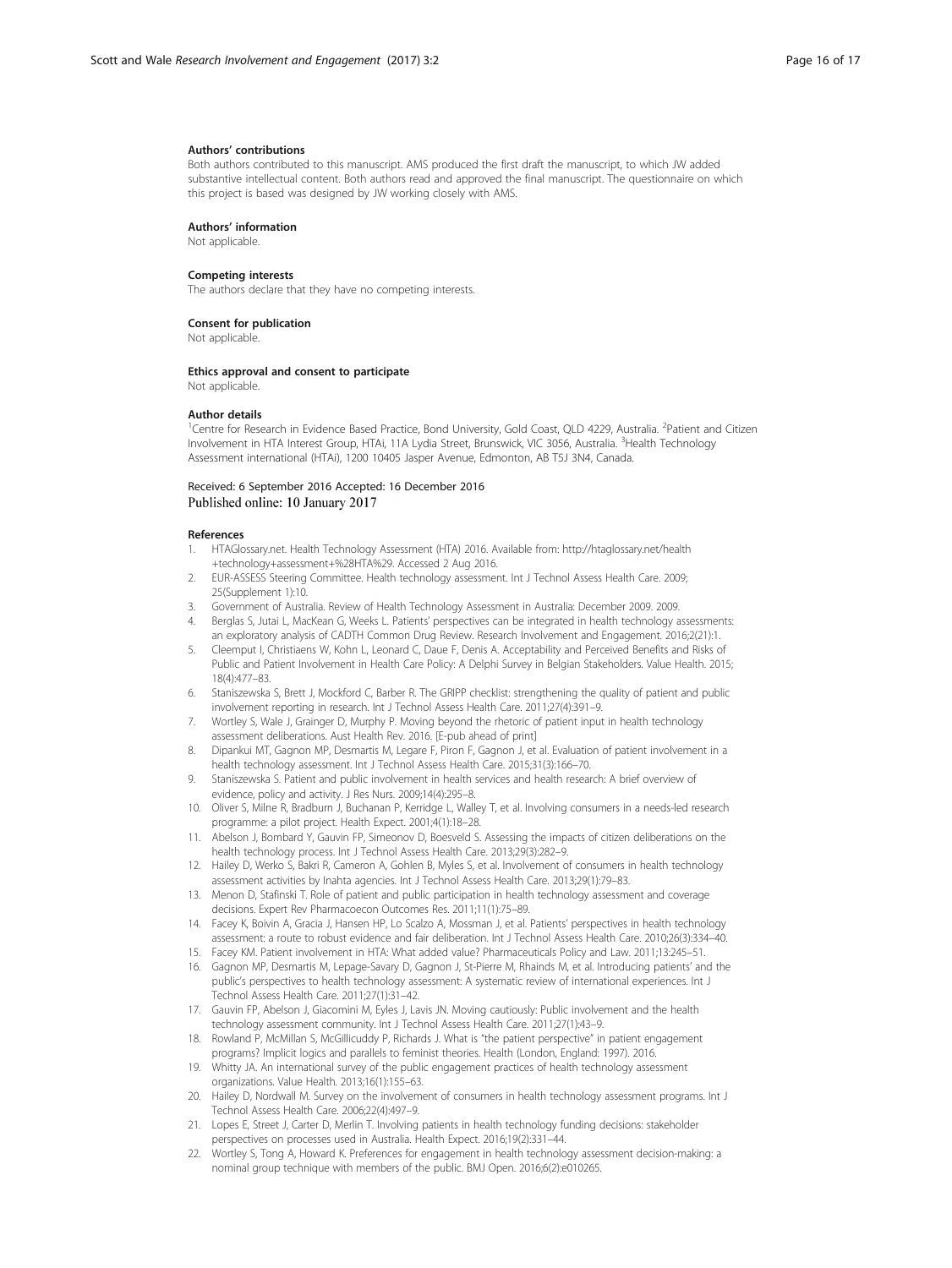#### <span id="page-16-0"></span>Authors' contributions

Both authors contributed to this manuscript. AMS produced the first draft the manuscript, to which JW added substantive intellectual content. Both authors read and approved the final manuscript. The questionnaire on which this project is based was designed by JW working closely with AMS.

#### Authors' information

Not applicable.

#### Competing interests

The authors declare that they have no competing interests.

#### Consent for publication

Not applicable.

#### Ethics approval and consent to participate

Not applicable.

#### Author details

<sup>1</sup>Centre for Research in Evidence Based Practice, Bond University, Gold Coast, QLD 4229, Australia. <sup>2</sup>Patient and Citizen Involvement in HTA Interest Group, HTAi, 11A Lydia Street, Brunswick, VIC 3056, Australia. <sup>3</sup>Health Technology Assessment international (HTAi), 1200 10405 Jasper Avenue, Edmonton, AB T5J 3N4, Canada.

#### Received: 6 September 2016 Accepted: 16 December 2016 Published online: 10 January 2017

#### References

- 1. HTAGlossary.net. Health Technology Assessment (HTA) 2016. Available from: [http://htaglossary.net/health](http://htaglossary.net/health+technology+assessment+%28HTA%29) [+technology+assessment+%28HTA%29.](http://htaglossary.net/health+technology+assessment+%28HTA%29) Accessed 2 Aug 2016.
- 2. EUR-ASSESS Steering Committee. Health technology assessment. Int J Technol Assess Health Care. 2009; 25(Supplement 1):10.
- 3. Government of Australia. Review of Health Technology Assessment in Australia: December 2009. 2009.
- 4. Berglas S, Jutai L, MacKean G, Weeks L. Patients' perspectives can be integrated in health technology assessments: an exploratory analysis of CADTH Common Drug Review. Research Involvement and Engagement. 2016;2(21):1.
- 5. Cleemput I, Christiaens W, Kohn L, Leonard C, Daue F, Denis A. Acceptability and Perceived Benefits and Risks of Public and Patient Involvement in Health Care Policy: A Delphi Survey in Belgian Stakeholders. Value Health. 2015; 18(4):477–83.
- 6. Staniszewska S, Brett J, Mockford C, Barber R. The GRIPP checklist: strengthening the quality of patient and public involvement reporting in research. Int J Technol Assess Health Care. 2011;27(4):391–9.
- 7. Wortley S, Wale J, Grainger D, Murphy P. Moving beyond the rhetoric of patient input in health technology assessment deliberations. Aust Health Rev. 2016. [E-pub ahead of print]
- 8. Dipankui MT, Gagnon MP, Desmartis M, Legare F, Piron F, Gagnon J, et al. Evaluation of patient involvement in a health technology assessment. Int J Technol Assess Health Care. 2015;31(3):166–70.
- 9. Staniszewska S. Patient and public involvement in health services and health research: A brief overview of evidence, policy and activity. J Res Nurs. 2009;14(4):295–8.
- 10. Oliver S, Milne R, Bradburn J, Buchanan P, Kerridge L, Walley T, et al. Involving consumers in a needs-led research programme: a pilot project. Health Expect. 2001;4(1):18–28.
- 11. Abelson J, Bombard Y, Gauvin FP, Simeonov D, Boesveld S. Assessing the impacts of citizen deliberations on the health technology process. Int J Technol Assess Health Care. 2013;29(3):282–9.
- 12. Hailey D, Werko S, Bakri R, Cameron A, Gohlen B, Myles S, et al. Involvement of consumers in health technology assessment activities by Inahta agencies. Int J Technol Assess Health Care. 2013;29(1):79–83.
- 13. Menon D, Stafinski T. Role of patient and public participation in health technology assessment and coverage decisions. Expert Rev Pharmacoecon Outcomes Res. 2011;11(1):75–89.
- 14. Facey K, Boivin A, Gracia J, Hansen HP, Lo Scalzo A, Mossman J, et al. Patients' perspectives in health technology assessment: a route to robust evidence and fair deliberation. Int J Technol Assess Health Care. 2010;26(3):334–40.
- 15. Facey KM. Patient involvement in HTA: What added value? Pharmaceuticals Policy and Law. 2011;13:245–51.
- 16. Gagnon MP, Desmartis M, Lepage-Savary D, Gagnon J, St-Pierre M, Rhainds M, et al. Introducing patients' and the public's perspectives to health technology assessment: A systematic review of international experiences. Int J Technol Assess Health Care. 2011;27(1):31–42.
- 17. Gauvin FP, Abelson J, Giacomini M, Eyles J, Lavis JN. Moving cautiously: Public involvement and the health technology assessment community. Int J Technol Assess Health Care. 2011;27(1):43–9.
- 18. Rowland P, McMillan S, McGillicuddy P, Richards J. What is "the patient perspective" in patient engagement programs? Implicit logics and parallels to feminist theories. Health (London, England: 1997). 2016.
- 19. Whitty JA. An international survey of the public engagement practices of health technology assessment organizations. Value Health. 2013;16(1):155–63.
- 20. Hailey D, Nordwall M. Survey on the involvement of consumers in health technology assessment programs. Int J Technol Assess Health Care. 2006;22(4):497–9.
- 21. Lopes E, Street J, Carter D, Merlin T. Involving patients in health technology funding decisions: stakeholder perspectives on processes used in Australia. Health Expect. 2016;19(2):331–44.
- 22. Wortley S, Tong A, Howard K. Preferences for engagement in health technology assessment decision-making: a nominal group technique with members of the public. BMJ Open. 2016;6(2):e010265.